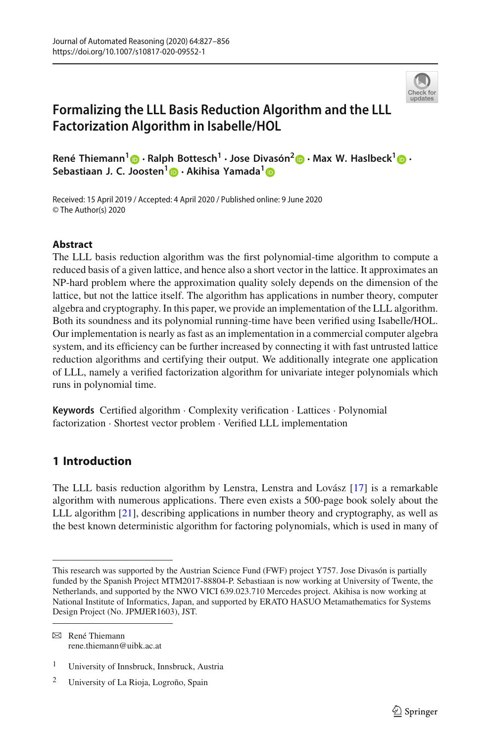

# **Formalizing the LLL Basis Reduction Algorithm and the LLL Factorization Algorithm in Isabelle/HOL**

**René Thiemann1 · Ralph Bottesch<sup>1</sup> · Jose Divasón[2](http://orcid.org/0000-0002-5173-128X) · Max W. Haslbeck[1](http://orcid.org/0000-0002-9900-5746) · Sebastiaan J. C. [Joo](http://orcid.org/0000-0002-0323-8829)sten[1](http://orcid.org/0000-0002-6590-6220) · Akihisa Yamada[1](http://orcid.org/0000-0001-8872-2240)**

Received: 15 April 2019 / Accepted: 4 April 2020 / Published online: 9 June 2020 © The Author(s) 2020

# **Abstract**

The LLL basis reduction algorithm was the first polynomial-time algorithm to compute a reduced basis of a given lattice, and hence also a short vector in the lattice. It approximates an NP-hard problem where the approximation quality solely depends on the dimension of the lattice, but not the lattice itself. The algorithm has applications in number theory, computer algebra and cryptography. In this paper, we provide an implementation of the LLL algorithm. Both its soundness and its polynomial running-time have been verified using Isabelle/HOL. Our implementation is nearly as fast as an implementation in a commercial computer algebra system, and its efficiency can be further increased by connecting it with fast untrusted lattice reduction algorithms and certifying their output. We additionally integrate one application of LLL, namely a verified factorization algorithm for univariate integer polynomials which runs in polynomial time.

**Keywords** Certified algorithm · Complexity verification · Lattices · Polynomial factorization · Shortest vector problem · Verified LLL implementation

# **1 Introduction**

The LLL basis reduction algorithm by Lenstra, Lenstra and Lovász [\[17\]](#page-29-0) is a remarkable algorithm with numerous applications. There even exists a 500-page book solely about the LLL algorithm [\[21\]](#page-29-1), describing applications in number theory and cryptography, as well as the best known deterministic algorithm for factoring polynomials, which is used in many of

 $\boxtimes$  René Thiemann rene.thiemann@uibk.ac.at

This research was supported by the Austrian Science Fund (FWF) project Y757. Jose Divasón is partially funded by the Spanish Project MTM2017-88804-P. Sebastiaan is now working at University of Twente, the Netherlands, and supported by the NWO VICI 639.023.710 Mercedes project. Akihisa is now working at National Institute of Informatics, Japan, and supported by ERATO HASUO Metamathematics for Systems Design Project (No. JPMJER1603), JST.

<sup>1</sup> University of Innsbruck, Innsbruck, Austria

<sup>2</sup> University of La Rioja, Logroño, Spain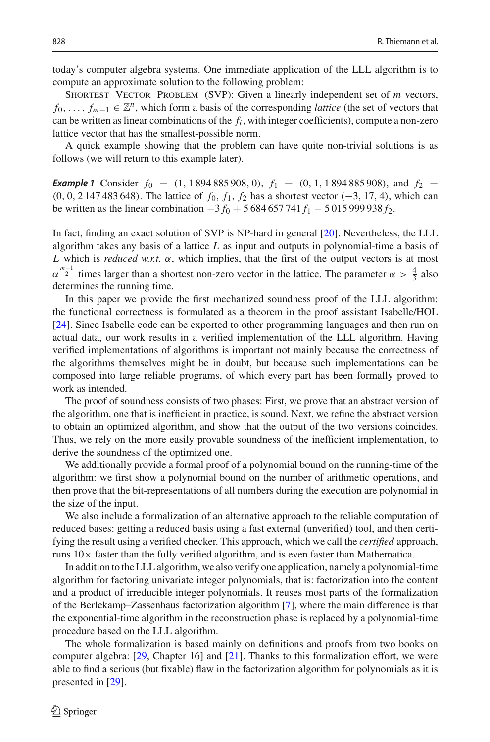today's computer algebra systems. One immediate application of the LLL algorithm is to compute an approximate solution to the following problem:

SHORTEST VECTOR PROBLEM (SVP): Given a linearly independent set of *m* vectors, *f*<sub>0</sub>,..., *f<sub>m−1</sub>* ∈  $\mathbb{Z}^n$ , which form a basis of the corresponding *lattice* (the set of vectors that can be written as linear combinations of the *fi* , with integer coefficients), compute a non-zero lattice vector that has the smallest-possible norm.

<span id="page-1-0"></span>A quick example showing that the problem can have quite non-trivial solutions is as follows (we will return to this example later).

**Example 1** Consider  $f_0 = (1, 1894885908, 0), f_1 = (0, 1, 1894885908),$  and  $f_2 =$ (0, 0, 2 147 483 648). The lattice of *f*0, *f*1, *f*<sup>2</sup> has a shortest vector (−3, 17, 4), which can be written as the linear combination −3 *f*<sup>0</sup> + 5 684 657 741 *f*<sup>1</sup> − 5 015 999 938 *f*2.

In fact, finding an exact solution of SVP is NP-hard in general [\[20\]](#page-29-2). Nevertheless, the LLL algorithm takes any basis of a lattice *L* as input and outputs in polynomial-time a basis of *L* which is *reduced w.r.t.* α, which implies, that the first of the output vectors is at most  $\alpha^{\frac{m-1}{2}}$  times larger than a shortest non-zero vector in the lattice. The parameter  $\alpha > \frac{4}{3}$  also determines the running time.

In this paper we provide the first mechanized soundness proof of the LLL algorithm: the functional correctness is formulated as a theorem in the proof assistant Isabelle/HOL [\[24\]](#page-29-3). Since Isabelle code can be exported to other programming languages and then run on actual data, our work results in a verified implementation of the LLL algorithm. Having verified implementations of algorithms is important not mainly because the correctness of the algorithms themselves might be in doubt, but because such implementations can be composed into large reliable programs, of which every part has been formally proved to work as intended.

The proof of soundness consists of two phases: First, we prove that an abstract version of the algorithm, one that is inefficient in practice, is sound. Next, we refine the abstract version to obtain an optimized algorithm, and show that the output of the two versions coincides. Thus, we rely on the more easily provable soundness of the inefficient implementation, to derive the soundness of the optimized one.

We additionally provide a formal proof of a polynomial bound on the running-time of the algorithm: we first show a polynomial bound on the number of arithmetic operations, and then prove that the bit-representations of all numbers during the execution are polynomial in the size of the input.

We also include a formalization of an alternative approach to the reliable computation of reduced bases: getting a reduced basis using a fast external (unverified) tool, and then certifying the result using a verified checker. This approach, which we call the *certified* approach, runs  $10\times$  faster than the fully verified algorithm, and is even faster than Mathematica.

In addition to the LLL algorithm, we also verify one application, namely a polynomial-time algorithm for factoring univariate integer polynomials, that is: factorization into the content and a product of irreducible integer polynomials. It reuses most parts of the formalization of the Berlekamp–Zassenhaus factorization algorithm [\[7\]](#page-29-4), where the main difference is that the exponential-time algorithm in the reconstruction phase is replaced by a polynomial-time procedure based on the LLL algorithm.

The whole formalization is based mainly on definitions and proofs from two books on computer algebra: [\[29,](#page-29-5) Chapter 16] and [\[21\]](#page-29-1). Thanks to this formalization effort, we were able to find a serious (but fixable) flaw in the factorization algorithm for polynomials as it is presented in [\[29](#page-29-5)].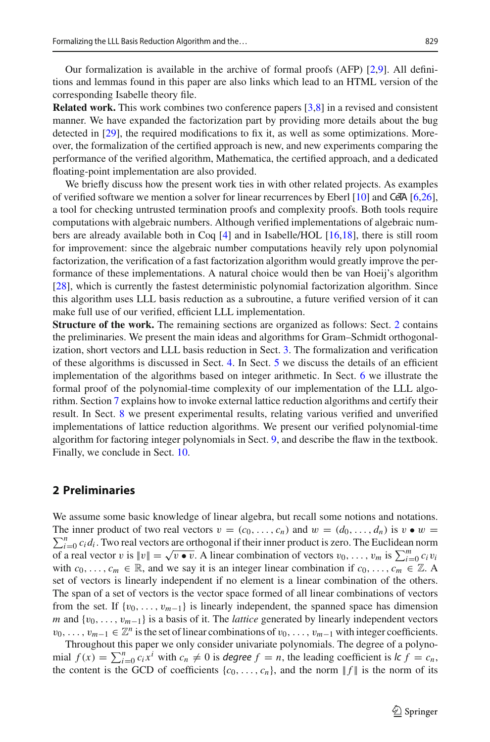Our formalization is available in the archive of formal proofs (AFP) [\[2](#page-28-0)[,9\]](#page-29-6). All definitions and lemmas found in this paper are also links which lead to an HTML version of the corresponding Isabelle theory file.

**Related work.** This work combines two conference papers [\[3](#page-28-1)[,8\]](#page-29-7) in a revised and consistent manner. We have expanded the factorization part by providing more details about the bug detected in [\[29](#page-29-5)], the required modifications to fix it, as well as some optimizations. Moreover, the formalization of the certified approach is new, and new experiments comparing the performance of the verified algorithm, Mathematica, the certified approach, and a dedicated floating-point implementation are also provided.

We briefly discuss how the present work ties in with other related projects. As examples of verified software we mention a solver for linear recurrences by Eberl  $[10]$  and CeTA  $[6,26]$  $[6,26]$ , a tool for checking untrusted termination proofs and complexity proofs. Both tools require computations with algebraic numbers. Although verified implementations of algebraic numbers are already available both in Coq [\[4](#page-28-3)] and in Isabelle/HOL [\[16](#page-29-10)[,18](#page-29-11)], there is still room for improvement: since the algebraic number computations heavily rely upon polynomial factorization, the verification of a fast factorization algorithm would greatly improve the performance of these implementations. A natural choice would then be van Hoeij's algorithm [\[28\]](#page-29-12), which is currently the fastest deterministic polynomial factorization algorithm. Since this algorithm uses LLL basis reduction as a subroutine, a future verified version of it can make full use of our verified, efficient LLL implementation.

**Structure of the work.** The remaining sections are organized as follows: Sect. [2](#page-2-0) contains the preliminaries. We present the main ideas and algorithms for Gram–Schmidt orthogonalization, short vectors and LLL basis reduction in Sect. [3.](#page-3-0) The formalization and verification of these algorithms is discussed in Sect. [4.](#page-7-0) In Sect. [5](#page-10-0) we discuss the details of an efficient implementation of the algorithms based on integer arithmetic. In Sect. [6](#page-15-0) we illustrate the formal proof of the polynomial-time complexity of our implementation of the LLL algorithm. Section [7](#page-17-0) explains how to invoke external lattice reduction algorithms and certify their result. In Sect. [8](#page-18-0) we present experimental results, relating various verified and unverified implementations of lattice reduction algorithms. We present our verified polynomial-time algorithm for factoring integer polynomials in Sect. [9,](#page-20-0) and describe the flaw in the textbook. Finally, we conclude in Sect. [10.](#page-26-0)

#### <span id="page-2-0"></span>**2 Preliminaries**

We assume some basic knowledge of linear algebra, but recall some notions and notations.  $\sum_{i=0}^{n} c_i d_i$ . Two real vectors are orthogonal if their inner product is zero. The Euclidean norm The inner product of two real vectors  $v = (c_0, \ldots, c_n)$  and  $w = (d_0, \ldots, d_n)$  is  $v \bullet w =$ of a real vector v is  $||v|| = \sqrt{v \cdot v}$ . A linear combination of vectors  $v_0, \ldots, v_m$  is  $\sum_{i=0}^{m} c_i v_i$ with  $c_0, \ldots, c_m \in \mathbb{R}$ , and we say it is an integer linear combination if  $c_0, \ldots, c_m \in \mathbb{Z}$ . A set of vectors is linearly independent if no element is a linear combination of the others. The span of a set of vectors is the vector space formed of all linear combinations of vectors from the set. If  $\{v_0, \ldots, v_{m-1}\}$  is linearly independent, the spanned space has dimension *m* and {*v*<sub>0</sub>, ..., *v*<sub>*m*−1</sub>} is a basis of it. The *lattice* generated by linearly independent vectors  $v_0, \ldots, v_{m-1} \in \mathbb{Z}^n$  is the set of linear combinations of  $v_0, \ldots, v_{m-1}$  with integer coefficients.

Throughout this paper we only consider univariate polynomials. The degree of a polynomial  $f(x) = \sum_{i=0}^{n} c_i x^i$  with  $c_n \neq 0$  is *degree*  $f = n$ , the leading coefficient is  $l c f = c_n$ , the content is the GCD of coefficients  $\{c_0, \ldots, c_n\}$ , and the norm  $|| f ||$  is the norm of its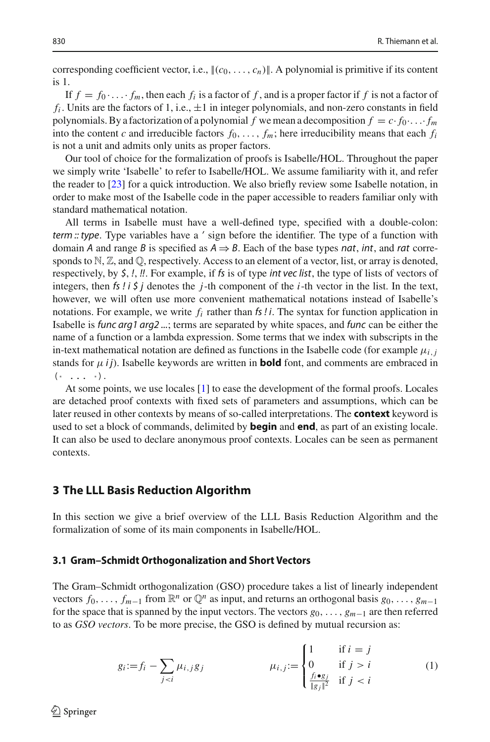corresponding coefficient vector, i.e.,  $\|(c_0, \ldots, c_n)\|$ . A polynomial is primitive if its content is 1.

If  $f = f_0 \cdot \ldots \cdot f_m$ , then each  $f_i$  is a factor of f, and is a proper factor if f is not a factor of  $f_i$ . Units are the factors of 1, i.e.,  $\pm 1$  in integer polynomials, and non-zero constants in field polynomials. By a factorization of a polynomial *f* we mean a decomposition  $f = c \cdot f_0 \cdot \ldots \cdot f_m$ into the content *c* and irreducible factors  $f_0, \ldots, f_m$ ; here irreducibility means that each  $f_i$ is not a unit and admits only units as proper factors.

Our tool of choice for the formalization of proofs is Isabelle/HOL. Throughout the paper we simply write 'Isabelle' to refer to Isabelle/HOL. We assume familiarity with it, and refer the reader to [\[23](#page-29-13)] for a quick introduction. We also briefly review some Isabelle notation, in order to make most of the Isabelle code in the paper accessible to readers familiar only with standard mathematical notation.

All terms in Isabelle must have a well-defined type, specified with a double-colon: *term :: type*. Type variables have a *'* sign before the identifier. The type of a function with domain *A* and range *B* is specified as  $A \Rightarrow B$ . Each of the base types *nat*, *int*, and *rat* corresponds to  $\mathbb{N}, \mathbb{Z}$ , and  $\mathbb{Q}$ , respectively. Access to an element of a vector, list, or array is denoted, respectively, by *\$*, *!*, *!!*. For example, if *fs* is of type *int vec list*, the type of lists of vectors of integers, then *fs ! i \$ j* denotes the *j*-th component of the *i*-th vector in the list. In the text, however, we will often use more convenient mathematical notations instead of Isabelle's notations. For example, we write *fi* rather than *fs ! i*. The syntax for function application in Isabelle is *func arg1 arg2 ...*; terms are separated by white spaces, and *func* can be either the name of a function or a lambda expression. Some terms that we index with subscripts in the in-text mathematical notation are defined as functions in the Isabelle code (for example  $\mu_{i,j}$ stands for  $\mu$  *i j*). Isabelle keywords are written in **bold** font, and comments are embraced in  $(* \ldots (*)$ .

At some points, we use locales [\[1\]](#page-28-4) to ease the development of the formal proofs. Locales are detached proof contexts with fixed sets of parameters and assumptions, which can be later reused in other contexts by means of so-called interpretations. The **context** keyword is used to set a block of commands, delimited by **begin** and **end**, as part of an existing locale. It can also be used to declare anonymous proof contexts. Locales can be seen as permanent contexts.

#### <span id="page-3-0"></span>**3 The LLL Basis Reduction Algorithm**

In this section we give a brief overview of the LLL Basis Reduction Algorithm and the formalization of some of its main components in Isabelle/HOL.

#### <span id="page-3-2"></span>**3.1 Gram–Schmidt Orthogonalization and Short Vectors**

The Gram–Schmidt orthogonalization (GSO) procedure takes a list of linearly independent vectors  $f_0, \ldots, f_{m-1}$  from  $\mathbb{R}^n$  or  $\mathbb{Q}^n$  as input, and returns an orthogonal basis  $g_0, \ldots, g_{m-1}$ for the space that is spanned by the input vectors. The vectors *g*0,..., *gm*−<sup>1</sup> are then referred to as *GSO vectors*. To be more precise, the GSO is defined by mutual recursion as:

<span id="page-3-1"></span>
$$
g_i := f_i - \sum_{j < i} \mu_{i,j} g_j \qquad \qquad \mu_{i,j} := \begin{cases} 1 & \text{if } i = j \\ 0 & \text{if } j > i \\ \frac{f_i \bullet g_j}{\|g_j\|^2} & \text{if } j < i \end{cases} \tag{1}
$$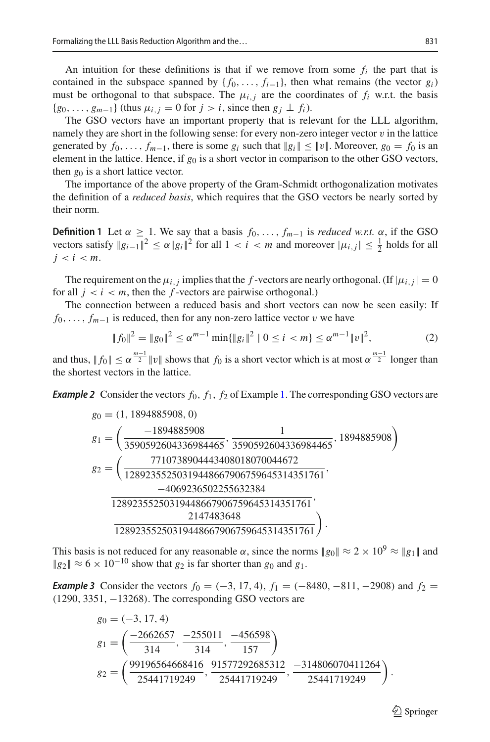An intuition for these definitions is that if we remove from some  $f_i$  the part that is contained in the subspace spanned by  $\{f_0, \ldots, f_{i-1}\}\$ , then what remains (the vector  $g_i$ ) must be orthogonal to that subspace. The  $\mu_{i,j}$  are the coordinates of  $f_i$  w.r.t. the basis  ${g_0, \ldots, g_{m-1}}$  (thus  $\mu_{i,j} = 0$  for  $j > i$ , since then  $g_j \perp f_i$ ).

The GSO vectors have an important property that is relevant for the LLL algorithm, namely they are short in the following sense: for every non-zero integer vector  $v$  in the lattice generated by  $f_0, \ldots, f_{m-1}$ , there is some  $g_i$  such that  $||g_i|| \le ||v||$ . Moreover,  $g_0 = f_0$  is an element in the lattice. Hence, if  $g_0$  is a short vector in comparison to the other GSO vectors, then  $g_0$  is a short lattice vector.

The importance of the above property of the Gram-Schmidt orthogonalization motivates the definition of a *reduced basis*, which requires that the GSO vectors be nearly sorted by their norm.

<span id="page-4-1"></span>**Definition 1** Let  $\alpha \geq 1$ . We say that a basis  $f_0, \ldots, f_{m-1}$  is *reduced w.r.t.*  $\alpha$ , if the GSO vectors satisfy  $||g_{i-1}||^2 \le \alpha ||g_i||^2$  for all  $1 < i < m$  and moreover  $|\mu_{i,j}| \le \frac{1}{2}$  holds for all  $j < i < m$ .

The requirement on the  $\mu_{i,j}$  implies that the *f*-vectors are nearly orthogonal. (If  $|\mu_{i,j}| = 0$ for all  $j < i < m$ , then the *f*-vectors are pairwise orthogonal.)

The connection between a reduced basis and short vectors can now be seen easily: If *f*<sub>0</sub>, ..., *f*<sub>*m*−1</sub> is reduced, then for any non-zero lattice vector *v* we have

<span id="page-4-2"></span>
$$
||f_0||^2 = ||g_0||^2 \le \alpha^{m-1} \min{||g_i||^2 | 0 \le i < m} \le \alpha^{m-1} ||v||^2,\tag{2}
$$

<span id="page-4-3"></span>and thus,  $||f_0|| \le \alpha^{\frac{m-1}{2}} ||v||$  shows that  $f_0$  is a short vector which is at most  $\alpha^{\frac{m-1}{2}}$  longer than the shortest vectors in the lattice.

*Example 2* Consider the vectors  $f_0$ ,  $f_1$ ,  $f_2$  of Example [1.](#page-1-0) The corresponding GSO vectors are

$$
g_0 = (1, 1894885908, 0)
$$
\n
$$
g_1 = \left(\frac{-1894885908}{3590592604336984465}, \frac{1}{3590592604336984465}, \frac{1894885908}{1894885908}\right)
$$
\n
$$
g_2 = \left(\frac{7710738904443408018070044672}{12892355250319448667906759645314351761}, \frac{-4069236502255632384}{12892355250319448667906759645314351761}, \frac{2147483648}{12892355250319448667906759645314351761}\right).
$$

This basis is not reduced for any reasonable  $\alpha$ , since the norms  $\|g_0\| \approx 2 \times 10^9 \approx \|g_1\|$  and  $||g_2|| \approx 6 \times 10^{-10}$  show that  $g_2$  is far shorter than  $g_0$  and  $g_1$ .

<span id="page-4-0"></span>*Example 3* Consider the vectors  $f_0 = (-3, 17, 4)$ ,  $f_1 = (-8480, -811, -2908)$  and  $f_2 =$ (1290, 3351, −13268). The corresponding GSO vectors are

$$
g_0 = (-3, 17, 4)
$$
\n
$$
g_1 = \left(\frac{-2662657}{314}, \frac{-255011}{314}, \frac{-456598}{157}\right)
$$
\n
$$
g_2 = \left(\frac{99196564668416}{25441719249}, \frac{91577292685312}{25441719249}, \frac{-314806070411264}{25441719249}\right).
$$

 $\circled{2}$  Springer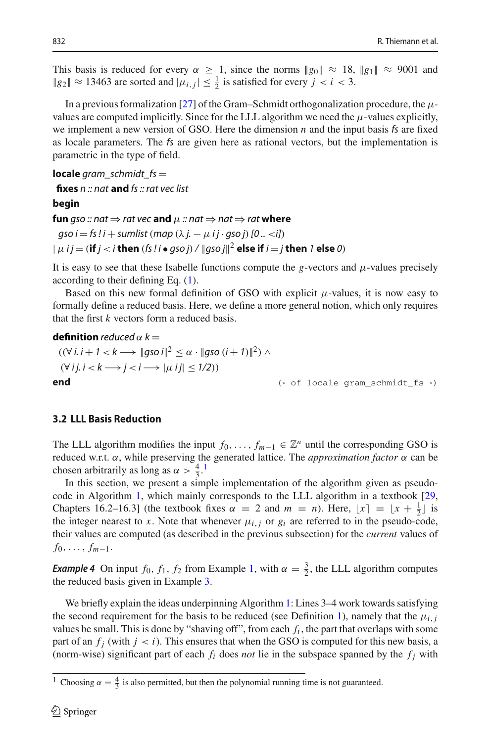This basis is reduced for every  $\alpha \geq 1$ , since the norms  $\|g_0\| \approx 18$ ,  $\|g_1\| \approx 9001$  and  $||g_2|| \approx 13463$  are sorted and  $|\mu_{i,j}| \leq \frac{1}{2}$  is satisfied for every  $j < i < 3$ .

In a previous formalization [\[27](#page-29-14)] of the Gram–Schmidt orthogonalization procedure, the  $\mu$ values are computed implicitly. Since for the LLL algorithm we need the  $\mu$ -values explicitly, we implement a new version of GSO. Here the dimension *n* and the input basis *fs* are fixed as locale parameters. The *fs* are given here as rational vectors, but the implementation is parametric in the type of field.

**locale** *gram\_schmidt\_fs* =

**fixes** *n :: nat* **and** *fs :: rat vec list*

**begin**

**fun** *gso* :: nat  $\Rightarrow$  *rat* vec **and**  $\mu$  :: nat  $\Rightarrow$  nat  $\Rightarrow$  *rat* where

 $\alpha$ *gso i* = *fs* !*i* + *sumlist* (*map* ( $\lambda$  *j.* −  $\mu$  *i j* · *qso j*) [0 .. <*i*])  $\|\mu\|j = (\textbf{if } j < i \textbf{ then } (fs \textcolor{black}{\mid} i \bullet gsoj) / \|gsoj\|^2$  else if  $i = j \textbf{ then } 1 \textbf{ else } 0)$ 

It is easy to see that these Isabelle functions compute the *g*-vectors and  $\mu$ -values precisely according to their defining Eq. [\(1\)](#page-3-1).

Based on this new formal definition of GSO with explicit  $\mu$ -values, it is now easy to formally define a reduced basis. Here, we define a more general notion, which only requires that the first *k* vectors form a reduced basis.

#### **[definition](http://cl-informatik.uibk.ac.at/isafor/experiments/lll/JAR/html_thys/AFP/LLL_Basis_Reduction/Gram_Schmidt_2.html#def:reduced)** *reduced*  $\alpha$   $k =$

$$
((\forall i. i + 1 < k \rightarrow \|\text{gso } i\|^2 \le \alpha \cdot \|\text{gso } (i + 1)\|^2) \land
$$
  
\n
$$
(\forall i. i < k \rightarrow j < i \rightarrow |\mu \text{ } ij| \le 1/2))
$$
  
\nend  
\n(\* of locale gram\_schmidt\_fs.)

# <span id="page-5-1"></span>**3.2 LLL Basis Reduction**

The LLL algorithm modifies the input  $f_0, \ldots, f_{m-1} \in \mathbb{Z}^n$  until the corresponding GSO is reduced w.r.t. α, while preserving the generated lattice. The *approximation factor* α can be chosen arbitrarily as long as  $\alpha > \frac{4}{3}$ .<sup>[1](#page-5-0)</sup>

In this section, we present a simple implementation of the algorithm given as pseudocode in Algorithm [1,](#page-6-0) which mainly corresponds to the LLL algorithm in a textbook [\[29,](#page-29-5) Chapters 16.2–16.3] (the textbook fixes  $\alpha = 2$  and  $m = n$ ). Here,  $\lfloor x \rfloor = \lfloor x + \frac{1}{2} \rfloor$  is the integer nearest to *x*. Note that whenever  $\mu_{i,j}$  or  $g_i$  are referred to in the pseudo-code, their values are computed (as described in the previous subsection) for the *current* values of  $f_0, \ldots, f_{m-1}.$ 

*Example 4* On input  $f_0$ ,  $f_1$ ,  $f_2$  from Example [1,](#page-1-0) with  $\alpha = \frac{3}{2}$ , the LLL algorithm computes the reduced basis given in Example [3.](#page-4-0)

We briefly explain the ideas underpinning Algorithm [1:](#page-6-0) Lines 3–4 work towards satisfying the second requirement for the basis to be reduced (see Definition [1\)](#page-4-1), namely that the  $\mu_{i,j}$ values be small. This is done by "shaving off", from each  $f_i$ , the part that overlaps with some part of an  $f_i$  (with  $j < i$ ). This ensures that when the GSO is computed for this new basis, a (norm-wise) significant part of each  $f_i$  does *not* lie in the subspace spanned by the  $f_i$  with

<span id="page-5-0"></span><sup>&</sup>lt;sup>1</sup> Choosing  $\alpha = \frac{4}{3}$  is also permitted, but then the polynomial running time is not guaranteed.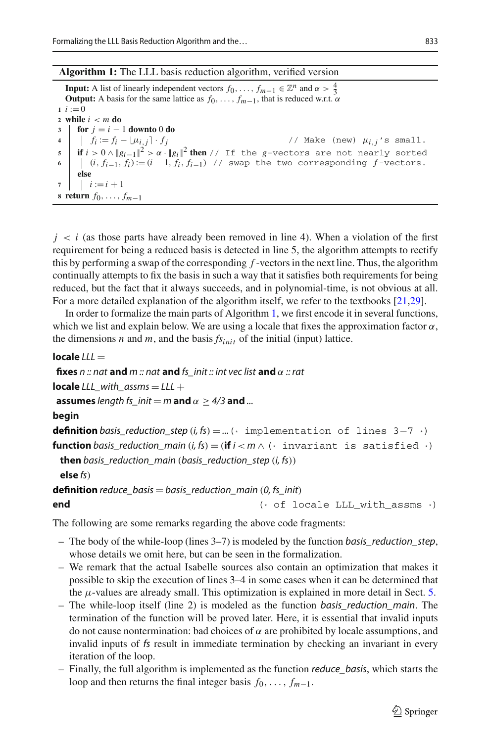#### **Algorithm 1:** The LLL basis reduction algorithm, verified version

<span id="page-6-1"></span><span id="page-6-0"></span>**Input:** A list of linearly independent vectors  $f_0, \ldots, f_{m-1} \in \mathbb{Z}^n$  and  $\alpha > \frac{4}{3}$ **Output:** A basis for the same lattice as  $f_0, \ldots, f_{m-1}$ , that is reduced w.r.t.  $\alpha$  $i := 0$ **<sup>2</sup> while** *i* < *m* **do 3 for**  $j = i - 1$  **downto** 0 **do**<br>**4 f**<sub>i</sub> :=  $f_i - \lfloor \mu_{i,j} \rfloor \cdot f_j$  $\frac{1}{2}$   $\frac{1}{2}$   $\frac{1}{2}$   $\frac{1}{2}$   $\frac{1}{2}$   $\frac{1}{2}$   $\frac{1}{2}$   $\frac{1}{2}$   $\frac{1}{2}$   $\frac{1}{2}$   $\frac{1}{2}$   $\frac{1}{2}$   $\frac{1}{2}$   $\frac{1}{2}$   $\frac{1}{2}$   $\frac{1}{2}$   $\frac{1}{2}$   $\frac{1}{2}$   $\frac{1}{2}$   $\frac{1}{2}$   $\frac{1}{2}$   $\frac{1}{2}$  **5 if**  $i > 0 \wedge |g_{i-1}|^2 > \alpha \cdot |g_i|^2$  **then** // If the *g*-vectors are not nearly sorted  $\begin{bmatrix} i & j \\ j & j \\ k & j & k \end{bmatrix}$  if  $i > 0 \wedge |g_{i-1}|^2 > \alpha \cdot |g_i|^2$  **then** // swap the two corresponding *f*-vectors. **<sup>6</sup>** (*i*, *fi*−1, *fi*):= (*<sup>i</sup>* <sup>−</sup> <sup>1</sup>, *fi*, *fi*−1) // swap the two corresponding *<sup>f</sup>* -vectors. **else 7**  $i := i + 1$ **<sup>8</sup> return** *f*0,..., *fm*−<sup>1</sup>

 $j < i$  (as those parts have already been removed in line 4). When a violation of the first requirement for being a reduced basis is detected in line 5, the algorithm attempts to rectify this by performing a swap of the corresponding *f* -vectors in the next line. Thus, the algorithm continually attempts to fix the basis in such a way that it satisfies both requirements for being reduced, but the fact that it always succeeds, and in polynomial-time, is not obvious at all. For a more detailed explanation of the algorithm itself, we refer to the textbooks [\[21](#page-29-1)[,29](#page-29-5)].

In order to formalize the main parts of Algorithm [1,](#page-6-0) we first encode it in several functions, which we list and explain below. We are using a locale that fixes the approximation factor  $\alpha$ , the dimensions *n* and *m*, and the basis  $fs_{init}$  of the initial (input) lattice.

```
locale 111 =
```
**fixes** *n :: nat* **and** *m :: nat* **and** *fs\_init :: int vec list* **and** α *:: rat*

**locale**  $LLL$  with  $assms = LLL +$ 

**assumes** *length fs init* = *m* **and**  $\alpha$  > 4/3 **and** ...

#### **begin**

**definition** *[basis\\_reduction\\_step](http://cl-informatik.uibk.ac.at/isafor/experiments/lll/JAR/html_thys/AFP/LLL_Basis_Reduction/LLL.html#def:basis_reduction_step)*  $(i, fs) = ...$  (\* implementation of lines  $3-7$  $3-7$  \*) **function** *basis\_reduction\_main*  $(i, fs) = (if i < m \land$  (\* invariant is satisfied \*) **then** *basis\_reduction\_main* (*basis\_reduction\_step* (*i, fs*))

```
else fs)
```
**definition** *reduce* basis = basis\_reduction\_main (0, fs\_init)

#### **end**  $(* of Iocale LLL_with_assms *)$

The following are some remarks regarding the above code fragments:

- The body of the while-loop (lines 3–7) is modeled by the function *basis\_reduction\_step*, whose details we omit here, but can be seen in the formalization.
- We remark that the actual Isabelle sources also contain an optimization that makes it possible to skip the execution of lines 3–4 in some cases when it can be determined that the  $\mu$ -values are already small. This optimization is explained in more detail in Sect. [5.](#page-10-0)
- The while-loop itself (line 2) is modeled as the function *basis\_reduction\_main*. The termination of the function will be proved later. Here, it is essential that invalid inputs do not cause nontermination: bad choices of  $\alpha$  are prohibited by locale assumptions, and invalid inputs of *fs* result in immediate termination by checking an invariant in every iteration of the loop.
- Finally, the full algorithm is implemented as the function *reduce\_basis*, which starts the loop and then returns the final integer basis  $f_0, \ldots, f_{m-1}$ .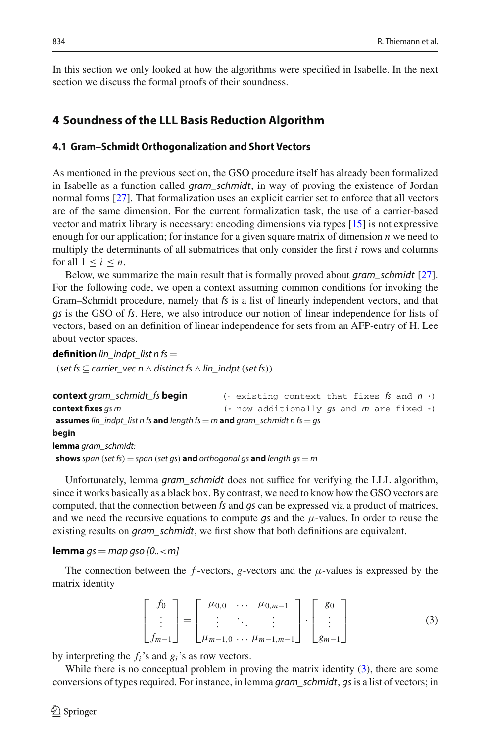In this section we only looked at how the algorithms were specified in Isabelle. In the next section we discuss the formal proofs of their soundness.

# <span id="page-7-0"></span>**4 Soundness of the LLL Basis Reduction Algorithm**

## **4.1 Gram–Schmidt Orthogonalization and Short Vectors**

As mentioned in the previous section, the GSO procedure itself has already been formalized in Isabelle as a function called *gram\_schmidt*, in way of proving the existence of Jordan normal forms [\[27\]](#page-29-14). That formalization uses an explicit carrier set to enforce that all vectors are of the same dimension. For the current formalization task, the use of a carrier-based vector and matrix library is necessary: encoding dimensions via types [\[15](#page-29-15)] is not expressive enough for our application; for instance for a given square matrix of dimension *n* we need to multiply the determinants of all submatrices that only consider the first *i* rows and columns for all  $1 \leq i \leq n$ .

Below, we summarize the main result that is formally proved about *gram\_schmidt* [\[27\]](#page-29-14). For the following code, we open a context assuming common conditions for invoking the Gram–Schmidt procedure, namely that *fs* is a list of linearly independent vectors, and that *gs* is the GSO of *fs*. Here, we also introduce our notion of linear independence for lists of vectors, based on an definition of linear independence for sets from an AFP-entry of H. Lee about vector spaces.

**definition**  $lin\_indpt\_list n fs =$ 

(*set fs* ⊂ *carrier\_vec n* ∧ *distinct fs* ∧ *lin\_indpt* (*set fs*))

```
context gram_schmidt_fs begin (* existing context that fixes fs and n *)
context fixes gs m (* now additionally gs and m are fixed *)
assumes lin_indpt_list n fs and length fs = m and gram_schmidt n fs = gs
begin
lemma gram_schmidt:
shows span (set fs) = span (set gs) and orthogonal gs and length gs = m
```
Unfortunately, lemma *gram\_schmidt* does not suffice for verifying the LLL algorithm, since it works basically as a black box. By contrast, we need to know how the GSO vectors are computed, that the connection between *fs* and *gs* can be expressed via a product of matrices, and we need the recursive equations to compute  $gs$  and the  $\mu$ -values. In order to reuse the existing results on *gram\_schmidt*, we first show that both definitions are equivalent.

#### **[lemma](http://cl-informatik.uibk.ac.at/isafor/experiments/lll/JAR/html_thys/AFP/LLL_Basis_Reduction/Gram_Schmidt_2.html#lem:main_connect)** *gs* = *map gso [0..*<*m]*

The connection between the  $f$ -vectors,  $g$ -vectors and the  $\mu$ -values is expressed by the matrix identity

<span id="page-7-1"></span>
$$
\begin{bmatrix} f_0 \\ \vdots \\ f_{m-1} \end{bmatrix} = \begin{bmatrix} \mu_{0,0} & \dots & \mu_{0,m-1} \\ \vdots & \ddots & \vdots \\ \mu_{m-1,0} & \dots & \mu_{m-1,m-1} \end{bmatrix} \cdot \begin{bmatrix} g_0 \\ \vdots \\ g_{m-1} \end{bmatrix}
$$
(3)

by interpreting the *fi*'s and *gi*'s as row vectors.

While there is no conceptual problem in proving the matrix identity [\(3\)](#page-7-1), there are some conversions of types required. For instance, in lemma *gram\_schmidt*, *gs* is a list of vectors; in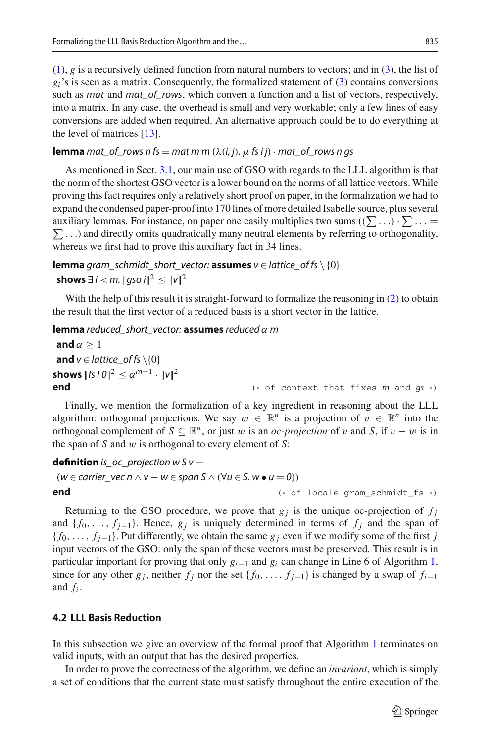[\(1\)](#page-3-1), *g* is a recursively defined function from natural numbers to vectors; and in [\(3\)](#page-7-1), the list of  $g_i$ 's is seen as a matrix. Consequently, the formalized statement of [\(3\)](#page-7-1) contains conversions such as *mat* and *mat\_of\_rows*, which convert a function and a list of vectors, respectively, into a matrix. In any case, the overhead is small and very workable; only a few lines of easy conversions are added when required. An alternative approach could be to do everything at

the level of matrices [\[13\]](#page-29-16).

# **[lemma](http://cl-informatik.uibk.ac.at/isafor/experiments/lll/JAR/html_thys/AFP/LLL_Basis_Reduction/Gram_Schmidt_2.html#lem:matrix_equality)** *mat\_of\_rows n fs* = *mat m m* ( $\lambda(i, j)$ *.*  $\mu$  *fs ij*) · *mat\_of\_rows n gs*

As mentioned in Sect. [3.1,](#page-3-2) our main use of GSO with regards to the LLL algorithm is that the norm of the shortest GSO vector is a lower bound on the norms of all lattice vectors. While proving this fact requires only a relatively short proof on paper, in the formalization we had to expand the condensed paper-proof into 170 lines of more detailed Isabelle source, plus several auxiliary lemmas. For instance, on paper one easily multiplies two sums  $((\sum \ldots) \cdot \sum \ldots)$  $\sum$ ...) and directly omits quadratically many neutral elements by referring to orthogonality, whereas we first had to prove this auxiliary fact in 34 lines.

**lemma** *[gram\\_schmidt\\_short\\_vector:](http://cl-informatik.uibk.ac.at/isafor/experiments/lll/JAR/html_thys/AFP/LLL_Basis_Reduction/Gram_Schmidt_2.html#lem:gram_schmidt_short_vector)* **assumes**  $v \in$  *lattice\_of fs* \ {0} **shows** ∃ *i* < *m*. ||aso *i*||<sup>2</sup> <  $||v||^2$ 

With the help of this result it is straight-forward to formalize the reasoning in [\(2\)](#page-4-2) to obtain the result that the first vector of a reduced basis is a short vector in the lattice.

# **lemma** *[reduced\\_short\\_vector:](http://cl-informatik.uibk.ac.at/isafor/experiments/lll/JAR/html_thys/AFP/LLL_Basis_Reduction/Gram_Schmidt_2.html#lem:weakly_reduced_imp_short_vector)* **assumes** *reduced* α *m*

```
and \alpha > 1and v \in lattice_of fs \{0}
shows ||fs!0||^2 \leq \alpha^{m-1} \cdot ||v||^2<br>end
                                                           end (* of context that fixes m and gs *)
```
Finally, we mention the formalization of a key ingredient in reasoning about the LLL algorithm: orthogonal projections. We say  $w \in \mathbb{R}^n$  is a projection of  $v \in \mathbb{R}^n$  into the orthogonal complement of  $S \subseteq \mathbb{R}^n$ , or just w is an *oc-projection* of v and *S*, if  $v - w$  is in the span of *S* and w is orthogonal to every element of *S*:

```
definition is_oc_projection wSv =
```

```
(w ∈ carrier \vee e \in n ∧ v - w ∈ span S ∧ (∀u ∈ S. w ∘ u = 0))
```
**end** (\* of locale gram\_schmidt\_fs \*)

Returning to the GSO procedure, we prove that  $g_j$  is the unique oc-projection of  $f_j$ and  ${f_0, \ldots, f_{j-1}}$ . Hence,  $g_j$  is uniquely determined in terms of  $f_j$  and the span of  ${f_0, \ldots, f_{j-1}}$ . Put differently, we obtain the same  $g_j$  even if we modify some of the first *j* input vectors of the GSO: only the span of these vectors must be preserved. This result is in particular important for proving that only *gi*−<sup>1</sup> and *gi* can change in Line 6 of Algorithm [1,](#page-6-0) since for any other  $g_j$ , neither  $f_j$  nor the set { $f_0$ , ...,  $f_{i-1}$ } is changed by a swap of  $f_{i-1}$ and *fi* .

# <span id="page-8-0"></span>**4.2 LLL Basis Reduction**

In this subsection we give an overview of the formal proof that Algorithm [1](#page-6-0) terminates on valid inputs, with an output that has the desired properties.

In order to prove the correctness of the algorithm, we define an *invariant*, which is simply a set of conditions that the current state must satisfy throughout the entire execution of the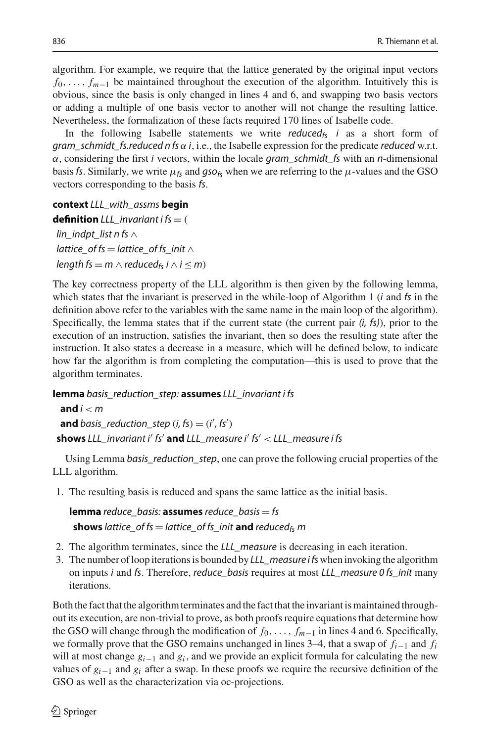algorithm. For example, we require that the lattice generated by the original input vectors *f*<sub>0</sub>,..., *f<sub>m−1</sub>* be maintained throughout the execution of the algorithm. Intuitively this is obvious, since the basis is only changed in lines 4 and 6, and swapping two basis vectors or adding a multiple of one basis vector to another will not change the resulting lattice. Nevertheless, the formalization of these facts required 170 lines of Isabelle code.

In the following Isabelle statements we write *reduced<sub>fs</sub> i* as a short form of *gram\_schmidt\_fs.reduced n fs* α *i*, i.e., the Isabelle expression for the predicate *reduced* w.r.t. α, considering the first *i* vectors, within the locale *gram\_schmidt\_fs* with an *n*-dimensional basis *fs*. Similarly, we write  $\mu_{fs}$  and *gso*<sub>fs</sub> when we are referring to the  $\mu$ -values and the GSO vectors corresponding to the basis *fs*.

**context** *LLL\_with\_assms* **begin definition**  $LLL$  *invariant i fs*  $=$  ( *lin\_indpt\_list n fs* ∧ *lattice\_of fs* = *lattice\_of fs\_init* ∧ *length fs* = *m*  $\land$  *reduced<sub>fs</sub> i*  $\land$  *i*  $\leq$  *m*)

The key correctness property of the LLL algorithm is then given by the following lemma, which states that the invariant is preserved in the while-loop of Algorithm [1](#page-6-0) (*i* and *fs* in the definition above refer to the variables with the same name in the main loop of the algorithm). Specifically, the lemma states that if the current state (the current pair *(i, fs)*), prior to the execution of an instruction, satisfies the invariant, then so does the resulting state after the instruction. It also states a decrease in a measure, which will be defined below, to indicate how far the algorithm is from completing the computation—this is used to prove that the algorithm terminates.

**lemma** *[basis\\_reduction\\_step:](http://cl-informatik.uibk.ac.at/isafor/experiments/lll/JAR/html_thys/AFP/LLL_Basis_Reduction/LLL.html#lem:basis_reduction_step)* **assumes** *LLL\_invariant i fs*

**and** *i* < *m* **and**  $basis\_reduction\_step (i, fs) = (i', fs')$ **shows** *LLL\_invariant i fs* **and** *LLL\_measure i fs* < *LLL\_measure i fs*

Using Lemma *basis\_reduction\_step*, one can prove the following crucial properties of the LLL algorithm.

1. The resulting basis is reduced and spans the same lattice as the initial basis.

**lemma** *[reduce\\_basis:](http://cl-informatik.uibk.ac.at/isafor/experiments/lll/JAR/html_thys/AFP/LLL_Basis_Reduction/LLL.html#lem:reduce_basis)* **assumes** *reduce\_basis* = *fs* **shows** *lattice\_of fs* = *lattice\_of fs\_init* **and** *reduced*<sub>fs</sub> *m* 

- 2. The algorithm terminates, since the *LLL\_measure* is decreasing in each iteration.
- 3. The number of loop iterations is bounded by *LLL\_measure ifs* when invoking the algorithm on inputs *i* and *fs*. Therefore, *reduce\_basis* requires at most *LLL\_measure 0 fs\_init* many iterations.

Both the fact that the algorithm terminates and the fact that the invariant is maintained throughout its execution, are non-trivial to prove, as both proofs require equations that determine how the GSO will change through the modification of *f*0,..., *fm*−<sup>1</sup> in lines 4 and 6. Specifically, we formally prove that the GSO remains unchanged in lines 3–4, that a swap of *fi*−<sup>1</sup> and *fi* will at most change *gi*−<sup>1</sup> and *gi* , and we provide an explicit formula for calculating the new values of  $g_{i-1}$  and  $g_i$  after a swap. In these proofs we require the recursive definition of the GSO as well as the characterization via oc-projections.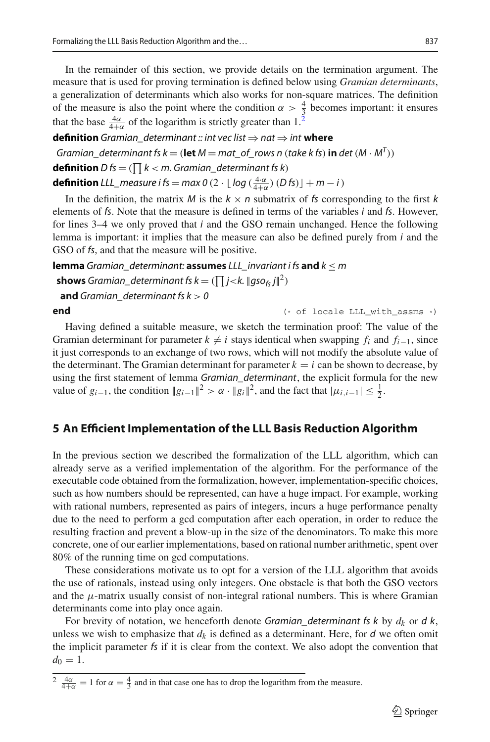In the remainder of this section, we provide details on the termination argument. The measure that is used for proving termination is defined below using *Gramian determinants*, a generalization of determinants which also works for non-square matrices. The definition of the measure is also the point where the condition  $\alpha > \frac{4}{3}$  becomes important: it ensures that the base  $\frac{4\alpha}{4+\alpha}$  of the logarithm is strictly greater than 1.<sup>2</sup>

# **definition** *Gramian* determinant *:: int vec list*  $\Rightarrow$  *nat*  $\Rightarrow$  *int* **where**

*Gramian\_determinant fs k* = (**let**  $M$  = mat\_of\_rows n (*take k fs*) **in** *det* ( $M \cdot M^T$ )) **[definition](http://cl-informatik.uibk.ac.at/isafor/experiments/lll/JAR/html_thys/AFP/LLL_Basis_Reduction/LLL.html#def:D)**  $D$  *fs*  $=$  ( $\prod k < m$ . Gramian\_determinant fs k) **definition** *[LLL\\_measure](http://cl-informatik.uibk.ac.at/isafor/experiments/lll/JAR/html_thys/AFP/LLL_Basis_Reduction/LLL.html#def:LLL_measure) i* fs = *max* 0 (2 · [ $log(\frac{4\alpha}{4+\alpha})$  (*D* fs)] + *m* − *i*)

In the definition, the matrix *M* is the  $k \times n$  submatrix of *fs* corresponding to the first *k* elements of *fs*. Note that the measure is defined in terms of the variables *i* and *fs*. However, for lines 3–4 we only proved that *i* and the GSO remain unchanged. Hence the following lemma is important: it implies that the measure can also be defined purely from *i* and the GSO of *fs*, and that the measure will be positive.

**lemma** *[Gramian\\_determinant:](http://cl-informatik.uibk.ac.at/isafor/experiments/lll/JAR/html_thys/AFP/LLL_Basis_Reduction/LLL.html#lem:Gramian_determinant)* **assumes** *LLL\_invariant i fs* **and** *k* ≤ *m*

**shows** Gramian\_determinant fs  $k = (\prod j < k$ .  $||gso_{fs}j||^2)$ 

**and** *Gramian\_determinant fs*  $k > 0$ 

**end** (\* of locale LLL\_with\_assms \*)

Having defined a suitable measure, we sketch the termination proof: The value of the Gramian determinant for parameter  $k \neq i$  stays identical when swapping  $f_i$  and  $f_{i-1}$ , since it just corresponds to an exchange of two rows, which will not modify the absolute value of the determinant. The Gramian determinant for parameter  $k = i$  can be shown to decrease, by using the first statement of lemma *Gramian\_determinant*, the explicit formula for the new value of  $g_{i-1}$ , the condition  $||g_{i-1}||^2 > \alpha \cdot ||g_i||^2$ , and the fact that  $|\mu_{i,i-1}| \leq \frac{1}{2}$ .

# <span id="page-10-0"></span>**5 An Efficient Implementation of the LLL Basis Reduction Algorithm**

In the previous section we described the formalization of the LLL algorithm, which can already serve as a verified implementation of the algorithm. For the performance of the executable code obtained from the formalization, however, implementation-specific choices, such as how numbers should be represented, can have a huge impact. For example, working with rational numbers, represented as pairs of integers, incurs a huge performance penalty due to the need to perform a gcd computation after each operation, in order to reduce the resulting fraction and prevent a blow-up in the size of the denominators. To make this more concrete, one of our earlier implementations, based on rational number arithmetic, spent over 80% of the running time on gcd computations.

These considerations motivate us to opt for a version of the LLL algorithm that avoids the use of rationals, instead using only integers. One obstacle is that both the GSO vectors and the  $\mu$ -matrix usually consist of non-integral rational numbers. This is where Gramian determinants come into play once again.

For brevity of notation, we henceforth denote *Gramian\_determinant fs k* by *dk* or *d k*, unless we wish to emphasize that  $d_k$  is defined as a determinant. Here, for  $d$  we often omit the implicit parameter *fs* if it is clear from the context. We also adopt the convention that  $d_0 = 1$ .

<span id="page-10-1"></span> $\frac{4\alpha}{4+\alpha} = 1$  for  $\alpha = \frac{4}{3}$  and in that case one has to drop the logarithm from the measure.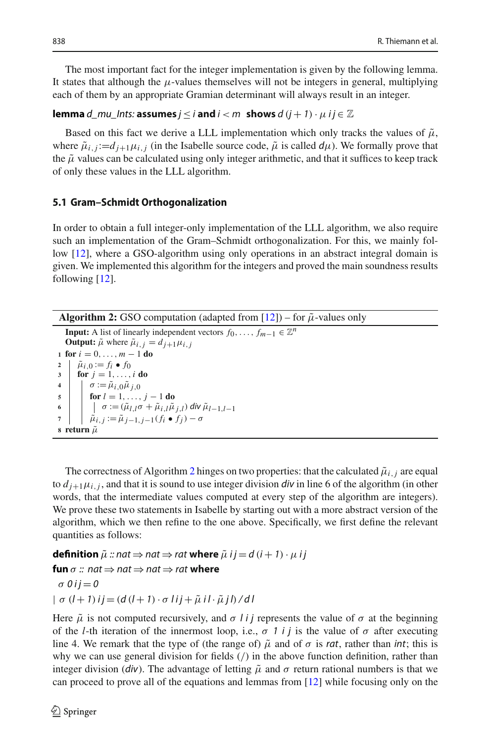The most important fact for the integer implementation is given by the following lemma. It states that although the  $\mu$ -values themselves will not be integers in general, multiplying each of them by an appropriate Gramian determinant will always result in an integer.

# **lemma**  $d$ \_mu\_Ints: **assumes**  $j \leq i$  and  $i < m$  shows  $d$   $(j + 1) \cdot \mu$   $ij \in \mathbb{Z}$

Based on this fact we derive a LLL implementation which only tracks the values of  $\tilde{\mu}$ , where  $\tilde{\mu}_{i,j} := d_{i+1} \mu_{i,j}$  (in the Isabelle source code,  $\tilde{\mu}$  is called  $d\mu$ ). We formally prove that the  $\tilde{\mu}$  values can be calculated using only integer arithmetic, and that it suffices to keep track of only these values in the LLL algorithm.

# <span id="page-11-1"></span>**5.1 Gram–Schmidt Orthogonalization**

In order to obtain a full integer-only implementation of the LLL algorithm, we also require such an implementation of the Gram–Schmidt orthogonalization. For this, we mainly follow [\[12\]](#page-29-17), where a GSO-algorithm using only operations in an abstract integral domain is given. We implemented this algorithm for the integers and proved the main soundness results following [\[12\]](#page-29-17).

**Algorithm 2:** GSO computation (adapted from  $[12]$ ) – for  $\tilde{\mu}$ -values only

<span id="page-11-0"></span>**Input:** A list of linearly independent vectors  $f_0, \ldots, f_{m-1} \in \mathbb{Z}^n$ **Output:**  $\tilde{\mu}$  where  $\tilde{\mu}_{i,j} = d_{j+1} \mu_{i,j}$  **for**  $i = 0, ..., m - 1$  **do**<br>**2**  $\parallel \tilde{u}_{i} \parallel_{0} := f_{i} \bullet f_{0}$  $\hat{\mu}_{i,0} := f_i \bullet f_0$ <br>**3** for  $i = 1, \ldots$  **for** *j* = 1,...,*i* **do**  $\sigma := \tilde{\mu}_{i,0}\tilde{\mu}_{j,0}$ <br>**for**  $l = 1$  **for**  $l = 1, ..., j - 1$  **do**<br>**6 for**  $l = (\tilde{\mu}_l)^T \sigma + \tilde{\mu}_l^T \gamma \tilde{\mu}_l^T$  $\sigma := (\tilde{\mu}_{l,l}\sigma + \tilde{\mu}_{i,l}\tilde{\mu}_{j,l})$  *div*  $\tilde{\mu}_{l-1,l-1}$ <br>
7  $\tilde{\mu}_{i,l} := \tilde{\mu}_{i,l-1,i-1}(f_i \bullet f_i) - \sigma$  $\hat{\mu}_{i,j} := \tilde{\mu}_{j-1,j-1}(f_i \bullet f_j) - \sigma$ **return**  $\tilde{\mu}$ 

The correctness of Algorithm [2](#page-11-0) hinges on two properties: that the calculated  $\tilde{\mu}_{i,j}$  are equal to  $d_{i+1}\mu_{i,j}$ , and that it is sound to use integer division *div* in line 6 of the algorithm (in other words, that the intermediate values computed at every step of the algorithm are integers). We prove these two statements in Isabelle by starting out with a more abstract version of the algorithm, which we then refine to the one above. Specifically, we first define the relevant quantities as follows:

**[definition](http://cl-informatik.uibk.ac.at/isafor/experiments/lll/JAR/html_thys/AFP/LLL_Basis_Reduction/Gram_Schmidt_Int.html#def:mu_prime)**  $\tilde{\mu}$  :: nat  $\Rightarrow$  nat  $\Rightarrow$  rat where  $\tilde{\mu}$  *i j* = *d* (*i* + *1*) ·  $\mu$  *i j* **[fun](http://cl-informatik.uibk.ac.at/isafor/experiments/lll/JAR/html_thys/AFP/LLL_Basis_Reduction/Gram_Schmidt_Int.html#def:sigma)**  $\sigma$  :: nat  $\Rightarrow$  nat  $\Rightarrow$  nat  $\Rightarrow$  rat where  $\sigma$  0 i j = 0  $| \sigma (l + 1) i j = (d (l + 1) \cdot \sigma l i j + \tilde{\mu} i l \cdot \tilde{\mu} j l) / d l$ 

Here  $\tilde{\mu}$  is not computed recursively, and  $\sigma$  *li* j represents the value of  $\sigma$  at the beginning of the *l*-th iteration of the innermost loop, i.e.,  $\sigma$  1 *i* j is the value of  $\sigma$  after executing line 4. We remark that the type of (the range of)  $\tilde{\mu}$  and of  $\sigma$  is *rat*, rather than *int*; this is why we can use general division for fields (/) in the above function definition, rather than integer division (*div*). The advantage of letting  $\tilde{\mu}$  and  $\sigma$  return rational numbers is that we can proceed to prove all of the equations and lemmas from [\[12\]](#page-29-17) while focusing only on the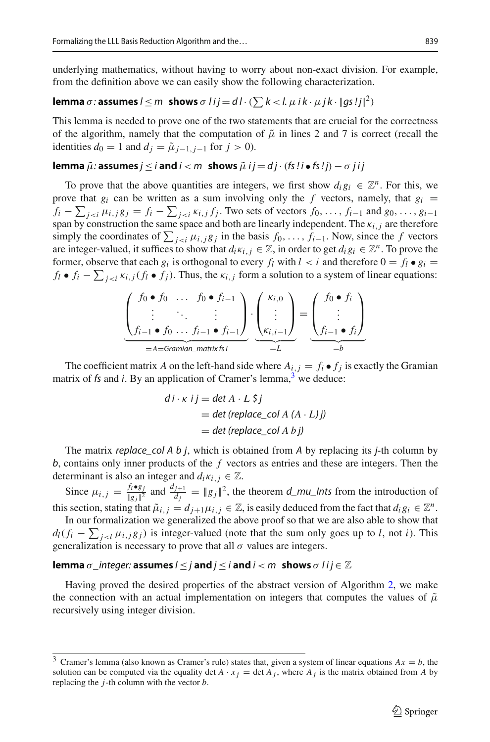underlying mathematics, without having to worry about non-exact division. For example, from the definition above we can easily show the following characterization.

# **[lemma](http://cl-informatik.uibk.ac.at/isafor/experiments/lll/JAR/html_thys/AFP/LLL_Basis_Reduction/Gram_Schmidt_Int.html#lem:sigma)**  $\sigma$ : **assumes**  $l \leq m$  shows  $\sigma$   $l$  i  $j = d$   $l \cdot (\sum k < l$ .  $\mu$  i  $k \cdot \mu$  j  $k \cdot ||gs!j||^2$ )

This lemma is needed to prove one of the two statements that are crucial for the correctness of the algorithm, namely that the computation of  $\tilde{\mu}$  in lines 2 and 7 is correct (recall the identities  $d_0 = 1$  and  $d_i = \tilde{\mu}_{i-1, i-1}$  for  $j > 0$ ).

## **[lemma](http://cl-informatik.uibk.ac.at/isafor/experiments/lll/JAR/html_thys/AFP/LLL_Basis_Reduction/Gram_Schmidt_Int.html#lem:mu_prime)**  $\tilde{\mu}$ : **assumes**  $j \leq i$  **and**  $i < m$  **shows**  $\tilde{\mu}$  **i**  $j = d$   $j \cdot (fs \, ! \, i \bullet fs \, ! \, j) - \sigma$   $j \, i \, j$

To prove that the above quantities are integers, we first show  $d_i g_i \in \mathbb{Z}^n$ . For this, we prove that  $g_i$  can be written as a sum involving only the *f* vectors, namely, that  $g_i$  =  $f_i - \sum_{j < i} \mu_{i,j} g_j = f_i - \sum_{j < i} \kappa_{i,j} f_j$ . Two sets of vectors  $f_0, \ldots, f_{i-1}$  and  $g_0, \ldots, g_{i-1}$ span by construction the same space and both are linearly independent. The κ*i*,*<sup>j</sup>* are therefore simply the coordinates of  $\sum_{j \leq i} \mu_{i,j} g_j$  in the basis  $f_0, \ldots, f_{i-1}$ . Now, since the *f* vectors are integer-valued, it suffices to show that  $d_i \kappa_{i,j} \in \mathbb{Z}$ , in order to get  $d_i g_i \in \mathbb{Z}^n$ . To prove the former, observe that each  $g_i$  is orthogonal to every  $f_l$  with  $l \lt i$  and therefore  $0 = f_l \bullet g_i$ *f<sub>l</sub>* ●  $f_i$  −  $\sum_{j \le i} \kappa_{i,j} (f_i \bullet f_j)$ . Thus, the  $\kappa_{i,j}$  form a solution to a system of linear equations:

$$
\underbrace{\begin{pmatrix} f_0 \bullet f_0 & \dots & f_0 \bullet f_{i-1} \\ \vdots & \ddots & \vdots \\ f_{i-1} \bullet f_0 & \dots & f_{i-1} \bullet f_{i-1} \end{pmatrix}}_{=A=\text{Gramian\_matrix } f_i} \cdot \underbrace{\begin{pmatrix} \kappa_{i,0} \\ \vdots \\ \kappa_{i,i-1} \end{pmatrix}}_{=L} = \underbrace{\begin{pmatrix} f_0 \bullet f_i \\ \vdots \\ f_{i-1} \bullet f_i \end{pmatrix}}_{=b}
$$

The coefficient matrix *A* on the left-hand side where  $A_{i,j} = f_i \bullet f_j$  is exactly the Gramian matrix of  $f_s$  and  $i$ . By an application of Cramer's lemma,  $3$  we deduce:

$$
di \cdot \kappa \quad i \quad j = \det A \cdot L \quad \xi \quad j
$$
\n
$$
= \det (\text{replace\_col } A \quad (A \cdot L) \quad j)
$$
\n
$$
= \det (\text{replace\_col } A \quad b \quad j)
$$

The matrix *replace\_col A b j*, which is obtained from *A* by replacing its *j*-th column by *b*, contains only inner products of the *f* vectors as entries and these are integers. Then the determinant is also an integer and  $d_i \kappa_{i,j} \in \mathbb{Z}$ .

Since  $\mu_{i,j} = \frac{f_i \bullet g_j}{\|g_j\|^2}$  and  $\frac{d_{j+1}}{d_j} = \|g_j\|^2$ , the theorem *d\_mu\_Ints* from the introduction of this section, stating that  $\tilde{\mu}_{i,j} = d_{i+1} \mu_{i,j} \in \mathbb{Z}$ , is easily deduced from the fact that  $d_i g_i \in \mathbb{Z}^n$ .

In our formalization we generalized the above proof so that we are also able to show that  $d_l(f_i - \sum_{j < l} \mu_{i,j} g_j)$  is integer-valued (note that the sum only goes up to *l*, not *i*). This generalization is necessary to prove that all  $\sigma$  values are integers.

#### **lemma**  $\sigma$  *[\\_integer:](http://cl-informatik.uibk.ac.at/isafor/experiments/lll/JAR/html_thys/AFP/LLL_Basis_Reduction/Gram_Schmidt_Int.html#lem:sigma_integer)* **assumes**  $l \leq j$  **and**  $j \leq i$  **and**  $i < m$  **shows**  $\sigma$   $l$   $i$  $j \in \mathbb{Z}$

Having proved the desired properties of the abstract version of Algorithm [2,](#page-11-0) we make the connection with an actual implementation on integers that computes the values of  $\tilde{\mu}$ recursively using integer division.

<span id="page-12-0"></span><sup>&</sup>lt;sup>3</sup> Cramer's lemma (also known as Cramer's rule) states that, given a system of linear equations  $Ax = b$ , the solution can be computed via the equality det  $A \cdot x_j = \det A_j$ , where  $A_j$  is the matrix obtained from A by replacing the *j*-th column with the vector *b*.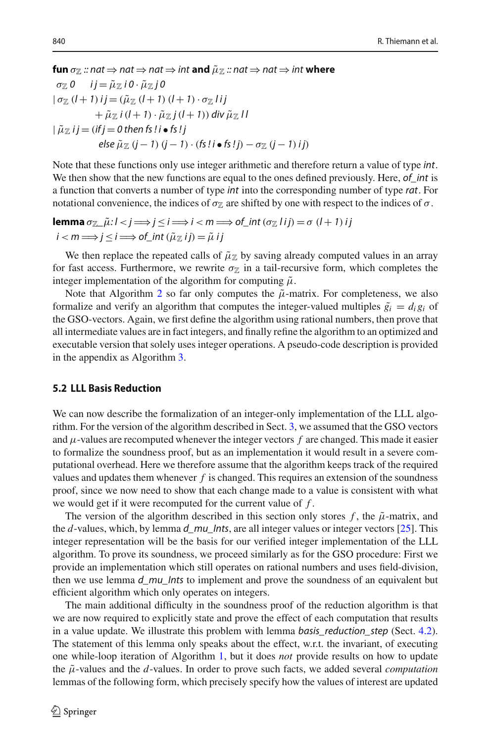**[fun](http://cl-informatik.uibk.ac.at/isafor/experiments/lll/JAR/html_thys/AFP/LLL_Basis_Reduction/Gram_Schmidt_Int.html#def:sigma_s)**  $\sigma_{\mathbb{Z}}$  *:: nat*  $\Rightarrow$  *nat*  $\Rightarrow$  *nat*  $\Rightarrow$  *int* and  $\tilde{\mu}_{\mathbb{Z}}$  *:: nat*  $\Rightarrow$  *nat*  $\Rightarrow$  *int* where

$$
\sigma_{\mathbb{Z}} 0 \quad ij = \tilde{\mu}_{\mathbb{Z}} i 0 \cdot \tilde{\mu}_{\mathbb{Z}} j 0
$$
  
\n
$$
|\sigma_{\mathbb{Z}} (l+1) i j = (\tilde{\mu}_{\mathbb{Z}} (l+1) (l+1) \cdot \sigma_{\mathbb{Z}} l i j + \tilde{\mu}_{\mathbb{Z}} i (l+1) \cdot \tilde{\mu}_{\mathbb{Z}} j (l+1)) \, \text{div } \tilde{\mu}_{\mathbb{Z}} l l
$$
  
\n
$$
|\tilde{\mu}_{\mathbb{Z}} i j = (if j = 0 \, \text{then } \text{fs } ! i \bullet \text{fs } ! j - \text{is } \text{fs } ! j - \sigma_{\mathbb{Z}} (j-1) i j)
$$
  
\n
$$
\text{else } \tilde{\mu}_{\mathbb{Z}} (j-1) (j-1) \cdot (\text{fs } ! i \bullet \text{fs } ! j) - \sigma_{\mathbb{Z}} (j-1) i j
$$

Note that these functions only use integer arithmetic and therefore return a value of type *int*. We then show that the new functions are equal to the ones defined previously. Here, *of\_int* is a function that converts a number of type *int* into the corresponding number of type *rat*. For notational convenience, the indices of  $\sigma_{\mathbb{Z}}$  are shifted by one with respect to the indices of  $\sigma$ .

**[lemma](http://cl-informatik.uibk.ac.at/isafor/experiments/lll/JAR/html_thys/AFP/LLL_Basis_Reduction/Gram_Schmidt_Int.html#lem:sigma_s)**  $\sigma_{\mathbb{Z}_+}$  $\tilde{\mu}:$   $l < j \Longrightarrow j \leq i \Longrightarrow i < m \Longrightarrow$  of\_int  $(\sigma_{\mathbb{Z}} I i j) = \sigma (l + 1) i j$  $i < m \Longrightarrow j \leq i \Longrightarrow \text{of\_int}(\tilde{\mu}_{\mathbb{Z}} i j) = \tilde{\mu} i j$ 

We then replace the repeated calls of  $\tilde{\mu}_\mathbb{Z}$  by saving already computed values in an array for fast access. Furthermore, we rewrite  $\sigma_{\mathbb{Z}}$  in a tail-recursive form, which completes the integer implementation of the algorithm for computing  $\tilde{\mu}$ .

Note that Algorithm [2](#page-11-0) so far only computes the  $\tilde{\mu}$ -matrix. For completeness, we also formalize and verify an algorithm that computes the integer-valued multiples  $\tilde{g}_i = d_i g_i$  of the GSO-vectors. Again, we first define the algorithm using rational numbers, then prove that all intermediate values are in fact integers, and finally refine the algorithm to an optimized and executable version that solely uses integer operations. A pseudo-code description is provided in the appendix as Algorithm [3.](#page-27-0)

# **5.2 LLL Basis Reduction**

We can now describe the formalization of an integer-only implementation of the LLL algorithm. For the version of the algorithm described in Sect. [3,](#page-3-0) we assumed that the GSO vectors and  $\mu$ -values are recomputed whenever the integer vectors  $f$  are changed. This made it easier to formalize the soundness proof, but as an implementation it would result in a severe computational overhead. Here we therefore assume that the algorithm keeps track of the required values and updates them whenever *f* is changed. This requires an extension of the soundness proof, since we now need to show that each change made to a value is consistent with what we would get if it were recomputed for the current value of *f* .

The version of the algorithm described in this section only stores  $f$ , the  $\tilde{\mu}$ -matrix, and the *d*-values, which, by lemma *d\_mu\_Ints*, are all integer values or integer vectors [\[25\]](#page-29-18). This integer representation will be the basis for our verified integer implementation of the LLL algorithm. To prove its soundness, we proceed similarly as for the GSO procedure: First we provide an implementation which still operates on rational numbers and uses field-division, then we use lemma *d\_mu\_Ints* to implement and prove the soundness of an equivalent but efficient algorithm which only operates on integers.

The main additional difficulty in the soundness proof of the reduction algorithm is that we are now required to explicitly state and prove the effect of each computation that results in a value update. We illustrate this problem with lemma *basis\_reduction\_step* (Sect. [4.2\)](#page-8-0). The statement of this lemma only speaks about the effect, w.r.t. the invariant, of executing one while-loop iteration of Algorithm [1,](#page-6-0) but it does *not* provide results on how to update the  $\tilde{\mu}$ -values and the *d*-values. In order to prove such facts, we added several *computation* lemmas of the following form, which precisely specify how the values of interest are updated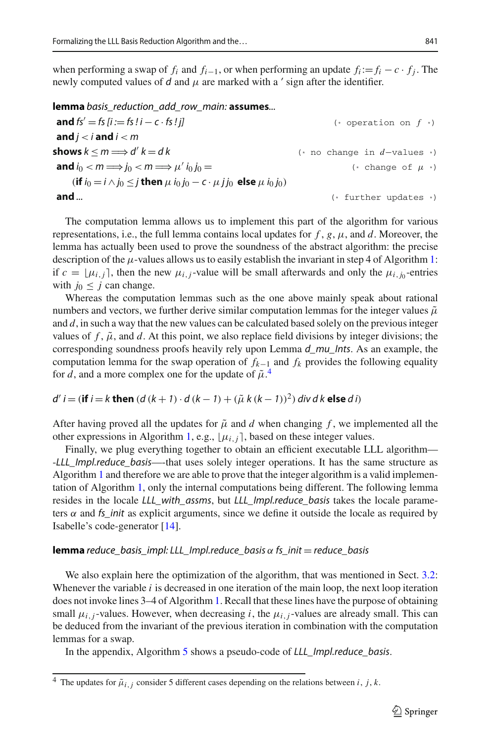when performing a swap of  $f_i$  and  $f_{i-1}$ , or when performing an update  $f_i := f_i - c \cdot f_i$ . The newly computed values of  $d$  and  $\mu$  are marked with a  $\prime$  sign after the identifier.

**lemma** *[basis\\_reduction\\_add\\_row\\_main:](http://cl-informatik.uibk.ac.at/isafor/experiments/lll/JAR/html_thys/AFP/LLL_Basis_Reduction/LLL.html#lem:basis_reduction_add_row_main)* **assumes***...*

**and**  $f s' = f s | i := f s! - c \cdot f s! i l$  (\* operation on  $f *$ ) and  $j < i$  and  $j < m$ **shows**  $k \le m \implies d' k = d k$  (\* no change in *d*−values \*) **and**  $i_0 < m \implies i_0 < m \implies \mu' i_0 i_0 =$  (\* change of  $\mu$  \*)  $(i \textbf{f} \textbf{i}_0 = i \wedge j_0 \leq j \textbf{ then } \mu \textbf{i}_0 j_0 - c \cdot \mu \textbf{j} j_0 \textbf{ else } \mu \textbf{i}_0 j_0)$ **and** *...* **and** *...* **and** *...* **and** *... example <b>1 (\* further updates \*)* 

The computation lemma allows us to implement this part of the algorithm for various representations, i.e., the full lemma contains local updates for  $f$ ,  $g$ ,  $\mu$ , and  $d$ . Moreover, the lemma has actually been used to prove the soundness of the abstract algorithm: the precise description of the  $\mu$ -values allows us to easily establish the invariant in step 4 of Algorithm [1:](#page-6-0) if  $c = [\mu_{i,j}]$ , then the new  $\mu_{i,j}$ -value will be small afterwards and only the  $\mu_{i,j}$ -entries with  $j_0 \leq j$  can change.

Whereas the computation lemmas such as the one above mainly speak about rational numbers and vectors, we further derive similar computation lemmas for the integer values  $\tilde{\mu}$ and *d*, in such a way that the new values can be calculated based solely on the previous integer values of  $f$ ,  $\tilde{\mu}$ , and *d*. At this point, we also replace field divisions by integer divisions; the corresponding soundness proofs heavily rely upon Lemma *d\_mu\_Ints*. As an example, the computation lemma for the swap operation of  $f_{k-1}$  and  $f_k$  provides the following equality for *d*, and a more complex one for the update of  $\tilde{\mu}$ <sup>[4](#page-14-0)</sup>.

$$
d' i = (\text{if } i = k \text{ then } (d (k + 1) \cdot d (k - 1) + (\tilde{\mu} k (k - 1))^2) \text{ div } d k \text{ else } d i)
$$

After having proved all the updates for  $\tilde{\mu}$  and *d* when changing *f*, we implemented all the other expressions in Algorithm [1,](#page-6-0) e.g.,  $\mu_{i,j}$ , based on these integer values.

Finally, we plug everything together to obtain an efficient executable LLL algorithm— -*LLL\_Impl.reduce\_basis*—-that uses solely integer operations. It has the same structure as Algorithm [1](#page-6-0) and therefore we are able to prove that the integer algorithm is a valid implementation of Algorithm [1,](#page-6-0) only the internal computations being different. The following lemma resides in the locale *LLL\_with\_assms*, but *LLL\_Impl.reduce\_basis* takes the locale parameters  $\alpha$  and *fs\_init* as explicit arguments, since we define it outside the locale as required by Isabelle's code-generator [\[14](#page-29-19)].

#### **lemma** *[reduce\\_basis\\_impl:](http://cl-informatik.uibk.ac.at/isafor/experiments/lll/JAR/html_thys/AFP/LLL_Basis_Reduction/LLL_Impl.html#lem:reduce_basis) LLL\_Impl.reduce\_basis* α *fs\_init* = *reduce\_basis*

We also explain here the optimization of the algorithm, that was mentioned in Sect. [3.2:](#page-5-1) Whenever the variable *i* is decreased in one iteration of the main loop, the next loop iteration does not invoke lines 3–4 of Algorithm [1.](#page-6-0) Recall that these lines have the purpose of obtaining small  $\mu_{i,j}$ -values. However, when decreasing *i*, the  $\mu_{i,j}$ -values are already small. This can be deduced from the invariant of the previous iteration in combination with the computation lemmas for a swap.

In the appendix, Algorithm [5](#page-28-5) shows a pseudo-code of *LLL\_Impl.reduce\_basis*.

<span id="page-14-0"></span><sup>&</sup>lt;sup>4</sup> The updates for  $\tilde{\mu}_{i,j}$  consider 5 different cases depending on the relations between *i*, *j*, *k*.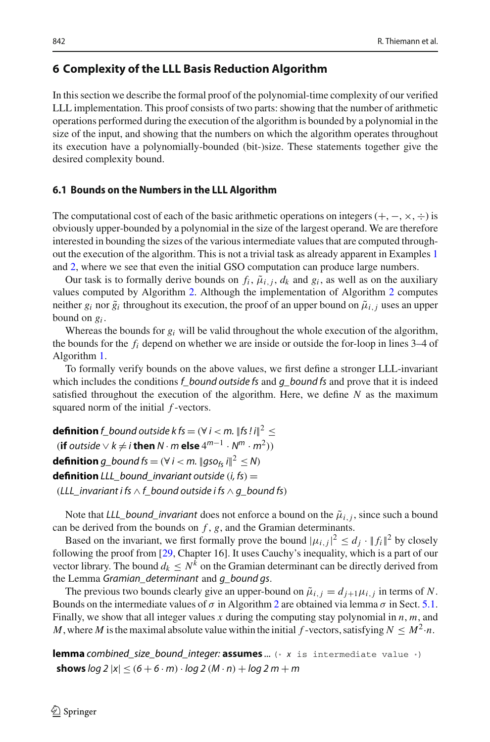# <span id="page-15-0"></span>**6 Complexity of the LLL Basis Reduction Algorithm**

In this section we describe the formal proof of the polynomial-time complexity of our verified LLL implementation. This proof consists of two parts: showing that the number of arithmetic operations performed during the execution of the algorithm is bounded by a polynomial in the size of the input, and showing that the numbers on which the algorithm operates throughout its execution have a polynomially-bounded (bit-)size. These statements together give the desired complexity bound.

#### **6.1 Bounds on the Numbers in the LLL Algorithm**

The computational cost of each of the basic arithmetic operations on integers  $(+, -, \times, \div)$  is obviously upper-bounded by a polynomial in the size of the largest operand. We are therefore interested in bounding the sizes of the various intermediate values that are computed throughout the execution of the algorithm. This is not a trivial task as already apparent in Examples [1](#page-1-0) and [2,](#page-4-3) where we see that even the initial GSO computation can produce large numbers.

Our task is to formally derive bounds on  $f_i$ ,  $\tilde{\mu}_{i,j}$ ,  $d_k$  and  $g_i$ , as well as on the auxiliary values computed by Algorithm [2.](#page-11-0) Although the implementation of Algorithm [2](#page-11-0) computes neither  $g_i$  nor  $\tilde{g}_i$  throughout its execution, the proof of an upper bound on  $\tilde{\mu}_{i,j}$  uses an upper bound on *gi* .

Whereas the bounds for *gi* will be valid throughout the whole execution of the algorithm, the bounds for the *fi* depend on whether we are inside or outside the for-loop in lines 3–4 of Algorithm [1.](#page-6-0)

To formally verify bounds on the above values, we first define a stronger LLL-invariant which includes the conditions *f\_bound outside fs* and *g\_bound fs* and prove that it is indeed satisfied throughout the execution of the algorithm. Here, we define *N* as the maximum squared norm of the initial *f* -vectors.

**[definition](http://cl-informatik.uibk.ac.at/isafor/experiments/lll/JAR/html_thys/AFP/LLL_Basis_Reduction/LLL_Number_Bounds.html#def:f_bound)**  $f_b$  *bound outside*  $k$   $fs = (\forall i < m$ .  $||fs \, li||^2 \le$  $(i\mathbf{f}$  *outside*  $\vee$  *k*  $\neq$  *i* **then**  $N \cdot m$  **else**  $4^{m-1} \cdot N^m \cdot m^2$ )) **[definition](http://cl-informatik.uibk.ac.at/isafor/experiments/lll/JAR/html_thys/AFP/LLL_Basis_Reduction/LLL.html#def:g_bound)** *g\_bound*  $fs = (\forall i < m$ .  $\|gso_{fs}i\|^2 \leq N$ **definition** *LLL bound invariant outside*  $(i, fs) =$ (*LLL\_invariant i fs* ∧ *f\_bound outside i fs* ∧ *g\_bound fs*)

Note that *LLL\_bound\_invariant* does not enforce a bound on the  $\tilde{\mu}_{i,j}$ , since such a bound can be derived from the bounds on *f* , *g*, and the Gramian determinants.

Based on the invariant, we first formally prove the bound  $|\mu_{i,j}|^2 \le d_j \cdot ||f_i||^2$  by closely following the proof from [\[29](#page-29-5), Chapter 16]. It uses Cauchy's inequality, which is a part of our vector library. The bound  $d_k \leq N^k$  on the Gramian determinant can be directly derived from the Lemma *Gramian\_determinant* and *g\_bound gs*.

The previous two bounds clearly give an upper-bound on  $\tilde{\mu}_{i,j} = d_{j+1} \mu_{i,j}$  in terms of N. Bounds on the intermediate values of  $\sigma$  in Algorithm [2](#page-11-0) are obtained via lemma  $\sigma$  in Sect. [5.1.](#page-11-1) Finally, we show that all integer values *x* during the computing stay polynomial in *n*, *m*, and *M*, where *M* is the maximal absolute value within the initial *f* -vectors, satisfying  $N \leq M^2 \cdot n$ .

**lemma** *[combined\\_size\\_bound\\_integer:](http://cl-informatik.uibk.ac.at/isafor/experiments/lll/JAR/html_thys/AFP/LLL_Basis_Reduction/LLL_Number_Bounds.html#lem:combined_size_bound_integer)* **assumes** *...* (\* *x* is intermediate value \*) **shows**  $log 2 |x| \le (6 + 6 \cdot m) \cdot log 2 (M \cdot n) + log 2 m + m$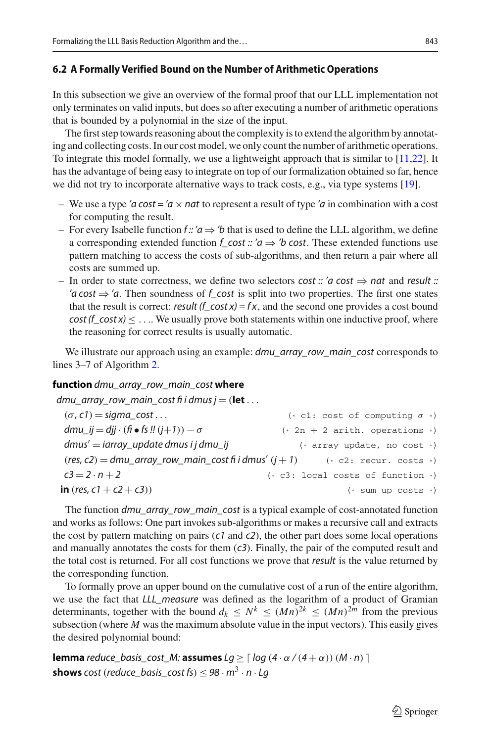#### **6.2 A Formally Verified Bound on the Number of Arithmetic Operations**

In this subsection we give an overview of the formal proof that our LLL implementation not only terminates on valid inputs, but does so after executing a number of arithmetic operations that is bounded by a polynomial in the size of the input.

The first step towards reasoning about the complexity is to extend the algorithm by annotating and collecting costs. In our cost model, we only count the number of arithmetic operations. To integrate this model formally, we use a lightweight approach that is similar to [\[11](#page-29-20)[,22](#page-29-21)]. It has the advantage of being easy to integrate on top of our formalization obtained so far, hence we did not try to incorporate alternative ways to track costs, e.g., via type systems [\[19\]](#page-29-22).

- We use a type *'a* cost = '*a*  $\times$  *nat* to represent a result of type '*a* in combination with a cost for computing the result.
- For every Isabelle function  $f: a \rightarrow b$  that is used to define the LLL algorithm, we define a corresponding extended function  $f\text{-}cost$  :: ' $a \Rightarrow$  'b cost. These extended functions use pattern matching to access the costs of sub-algorithms, and then return a pair where all costs are summed up.
- In order to state correctness, we define two selectors *cost :: 'a cost* ⇒ *nat* and *result :: 'a cost*  $\Rightarrow$  '*a*. Then soundness of *f\_cost* is split into two properties. The first one states that the result is correct: *result*  $(f_{\text{cost}} x) = fx$ , and the second one provides a cost bound  $cost(f\_cost x) \le ...$  We usually prove both statements within one inductive proof, where the reasoning for correct results is usually automatic.

We illustrate our approach using an example: *dmu\_array\_row\_main\_cost* corresponds to lines 3–7 of Algorithm [2.](#page-11-0)

#### **function** *[dmu\\_array\\_row\\_main\\_cost](http://cl-informatik.uibk.ac.at/isafor/experiments/lll/JAR/html_thys/AFP/LLL_Basis_Reduction/LLL_Complexity.html#def:dmu_array_row_main_cost)* **where**

*dmu\_array\_row\_main\_cost fi i dmus j* = (**let** ...

| $(\sigma, c1)$ = sigma cost                                                           | (* c1: cost of computing $\sigma$ *) |
|---------------------------------------------------------------------------------------|--------------------------------------|
| dmu_ij = djj $\cdot$ (fi $\bullet$ fs !! (j+1)) $-\sigma$                             | $(* 2n + 2 arith. operations *)$     |
| $dmus' = iarray\_update dmus i j dmu_i j$                                             | $(*$ array update, no cost $*)$      |
| $(res, c2) = dmu_{array_{row}}$ main_cost fi i dmus' $(j + 1)$ (* c2: recur. costs *) |                                      |
| $c3 = 2 \cdot n + 2$                                                                  | $(* c3: local costs of function *)$  |
| <b>in</b> (res, $c1 + c2 + c3$ ))                                                     | $(*)$ sum up costs $*)$              |

The function *dmu\_array\_row\_main\_cost* is a typical example of cost-annotated function and works as follows: One part invokes sub-algorithms or makes a recursive call and extracts the cost by pattern matching on pairs (*c1* and *c2*), the other part does some local operations and manually annotates the costs for them (*c3*). Finally, the pair of the computed result and the total cost is returned. For all cost functions we prove that *result* is the value returned by the corresponding function.

To formally prove an upper bound on the cumulative cost of a run of the entire algorithm, we use the fact that *LLL\_measure* was defined as the logarithm of a product of Gramian determinants, together with the bound  $d_k \leq N^k \leq (Mn)^{2k} \leq (Mn)^{2m}$  from the previous subsection (where *M* was the maximum absolute value in the input vectors). This easily gives the desired polynomial bound:

**lemma** *[reduce\\_basis\\_cost\\_M:](http://cl-informatik.uibk.ac.at/isafor/experiments/lll/JAR/html_thys/AFP/LLL_Basis_Reduction/LLL_Complexity.html#lem:reduce_basis_cost_M)* **assumes**  $Lg \geq \lceil log(4 \cdot \alpha/(4+\alpha)) (M \cdot n) \rceil$ **shows** *cost* (*reduce\_basis\_cost fs*) <  $98 \cdot m^3 \cdot n \cdot Lq$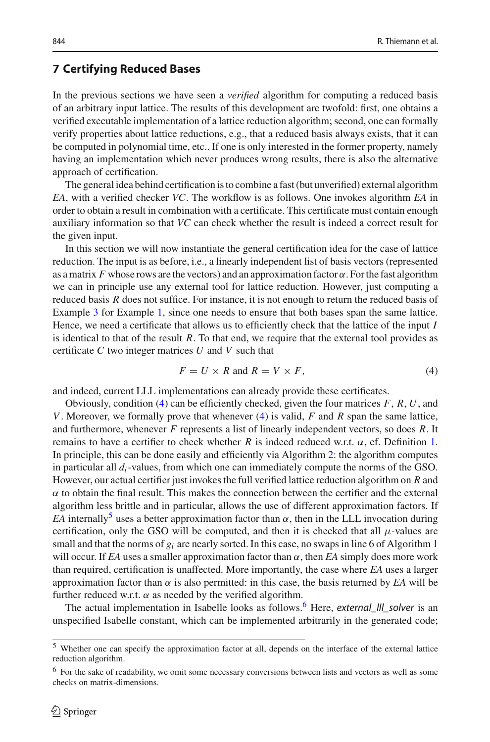# <span id="page-17-0"></span>**7 Certifying Reduced Bases**

In the previous sections we have seen a *verified* algorithm for computing a reduced basis of an arbitrary input lattice. The results of this development are twofold: first, one obtains a verified executable implementation of a lattice reduction algorithm; second, one can formally verify properties about lattice reductions, e.g., that a reduced basis always exists, that it can be computed in polynomial time, etc.. If one is only interested in the former property, namely having an implementation which never produces wrong results, there is also the alternative approach of certification.

The general idea behind certification is to combine a fast (but unverified) external algorithm *EA*, with a verified checker *VC*. The workflow is as follows. One invokes algorithm *EA* in order to obtain a result in combination with a certificate. This certificate must contain enough auxiliary information so that *VC* can check whether the result is indeed a correct result for the given input.

In this section we will now instantiate the general certification idea for the case of lattice reduction. The input is as before, i.e., a linearly independent list of basis vectors (represented as a matrix *F* whose rows are the vectors) and an approximation factor  $\alpha$ . For the fast algorithm we can in principle use any external tool for lattice reduction. However, just computing a reduced basis *R* does not suffice. For instance, it is not enough to return the reduced basis of Example [3](#page-4-0) for Example [1,](#page-1-0) since one needs to ensure that both bases span the same lattice. Hence, we need a certificate that allows us to efficiently check that the lattice of the input *I* is identical to that of the result *R*. To that end, we require that the external tool provides as certificate *C* two integer matrices *U* and *V* such that

<span id="page-17-1"></span>
$$
F = U \times R \text{ and } R = V \times F,
$$
\n<sup>(4)</sup>

and indeed, current LLL implementations can already provide these certificates.

Obviously, condition [\(4\)](#page-17-1) can be efficiently checked, given the four matrices *F*, *R*, *U*, and *V*. Moreover, we formally prove that whenever [\(4\)](#page-17-1) is valid, *F* and *R* span the same lattice, and furthermore, whenever *F* represents a list of linearly independent vectors, so does *R*. It remains to have a certifier to check whether *R* is indeed reduced w.r.t. α, cf. Definition [1.](#page-4-1) In principle, this can be done easily and efficiently via Algorithm [2:](#page-11-0) the algorithm computes in particular all *di*-values, from which one can immediately compute the norms of the GSO. However, our actual certifier just invokes the full verified lattice reduction algorithm on *R* and  $\alpha$  to obtain the final result. This makes the connection between the certifier and the external algorithm less brittle and in particular, allows the use of different approximation factors. If *EA* internally<sup>[5](#page-17-2)</sup> uses a better approximation factor than  $\alpha$ , then in the LLL invocation during certification, only the GSO will be computed, and then it is checked that all  $\mu$ -values are small and that the norms of  $g_i$  are nearly sorted. In this case, no swaps in line 6 of Algorithm [1](#page-6-0) will occur. If *EA* uses a smaller approximation factor than  $\alpha$ , then *EA* simply does more work than required, certification is unaffected. More importantly, the case where *EA* uses a larger approximation factor than  $\alpha$  is also permitted: in this case, the basis returned by *EA* will be further reduced w.r.t.  $\alpha$  as needed by the verified algorithm.

The actual implementation in Isabelle looks as follows[.6](#page-17-3) Here, *external\_lll\_solver* is an unspecified Isabelle constant, which can be implemented arbitrarily in the generated code;

<span id="page-17-2"></span><sup>5</sup> Whether one can specify the approximation factor at all, depends on the interface of the external lattice reduction algorithm.

<span id="page-17-3"></span><sup>&</sup>lt;sup>6</sup> For the sake of readability, we omit some necessary conversions between lists and vectors as well as some checks on matrix-dimensions.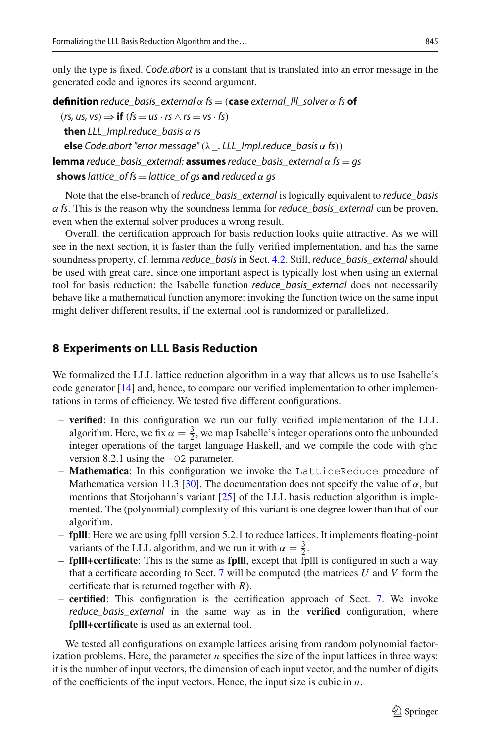only the type is fixed. *Code.abort* is a constant that is translated into an error message in the generated code and ignores its second argument.

**definition** *[reduce\\_basis\\_external](http://cl-informatik.uibk.ac.at/isafor/experiments/lll/JAR/html_thys/AFP/LLL_Basis_Reduction/LLL_Certification.html#def:reduce_basis_external)*  $\alpha$  *fs* = (**case** *external\_III\_solver*  $\alpha$  *fs* **of**  $(rs, us, vs) \Rightarrow \textbf{if} (fs = us \cdot rs \wedge rs = vs \cdot fs)$ **then** *LLL\_Impl.reduce\_basis* α *rs* **else** *Code.abort "error message"*(λ *\_. LLL\_Impl.reduce\_basis* α *fs*)) **lemma** *[reduce\\_basis\\_external:](http://cl-informatik.uibk.ac.at/isafor/experiments/lll/JAR/html_thys/AFP/LLL_Basis_Reduction/LLL_Certification.html#lem:reduce_basis_external)* **assumes** *reduce\_basis\_external* α *fs* = *gs* **shows** *lattice* of *fs* = *lattice* of *gs* **and** *reduced*  $\alpha$  *gs* 

Note that the else-branch of *reduce\_basis\_external* is logically equivalent to *reduce\_basis* α *fs*. This is the reason why the soundness lemma for *reduce\_basis\_external* can be proven, even when the external solver produces a wrong result.

Overall, the certification approach for basis reduction looks quite attractive. As we will see in the next section, it is faster than the fully verified implementation, and has the same soundness property, cf. lemma *reduce\_basis* in Sect. [4.2.](#page-8-0) Still, *reduce\_basis\_external* should be used with great care, since one important aspect is typically lost when using an external tool for basis reduction: the Isabelle function *reduce\_basis\_external* does not necessarily behave like a mathematical function anymore: invoking the function twice on the same input might deliver different results, if the external tool is randomized or parallelized.

# <span id="page-18-0"></span>**8 Experiments on LLL Basis Reduction**

We formalized the LLL lattice reduction algorithm in a way that allows us to use Isabelle's code generator [\[14\]](#page-29-19) and, hence, to compare our verified implementation to other implementations in terms of efficiency. We tested five different configurations.

- **verified**: In this configuration we run our fully verified implementation of the LLL algorithm. Here, we fix  $\alpha = \frac{3}{2}$ , we map Isabelle's integer operations onto the unbounded integer operations of the target language Haskell, and we compile the code with ghc version 8.2.1 using the -O2 parameter.
- **Mathematica**: In this configuration we invoke the LatticeReduce procedure of Mathematica version 11.3 [\[30\]](#page-29-23). The documentation does not specify the value of  $\alpha$ , but mentions that Storjohann's variant  $[25]$  of the LLL basis reduction algorithm is implemented. The (polynomial) complexity of this variant is one degree lower than that of our algorithm.
- **fplll**: Here we are using fplll version 5.2.1 to reduce lattices. It implements floating-point variants of the LLL algorithm, and we run it with  $\alpha = \frac{3}{2}$ .
- **fplll+certificate**: This is the same as **fplll**, except that fplll is configured in such a way that a certificate according to Sect. [7](#page-17-0) will be computed (the matrices *U* and *V* form the certificate that is returned together with *R*).
- **certified**: This configuration is the certification approach of Sect. [7.](#page-17-0) We invoke *reduce\_basis\_external* in the same way as in the **verified** configuration, where **fplll+certificate** is used as an external tool.

We tested all configurations on example lattices arising from random polynomial factorization problems. Here, the parameter *n* specifies the size of the input lattices in three ways: it is the number of input vectors, the dimension of each input vector, and the number of digits of the coefficients of the input vectors. Hence, the input size is cubic in *n*.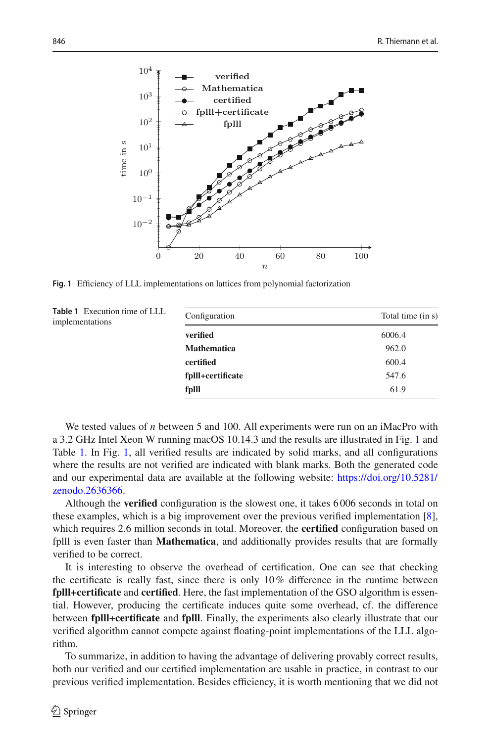

<span id="page-19-0"></span>**Fig. 1** Efficiency of LLL implementations on lattices from polynomial factorization

<span id="page-19-1"></span>

| Table 1 Execution time of LLL<br>implementations | Configuration      | Total time (in s) |
|--------------------------------------------------|--------------------|-------------------|
|                                                  | verified           | 6006.4            |
|                                                  | <b>Mathematica</b> | 962.0             |
|                                                  | certified          | 600.4             |
|                                                  | fplll+certificate  | 547.6             |
|                                                  | fplll              | 61.9              |
|                                                  |                    |                   |

We tested values of *n* between 5 and 100. All experiments were run on an iMacPro with a 3.2 GHz Intel Xeon W running macOS 10.14.3 and the results are illustrated in Fig. [1](#page-19-0) and Table [1.](#page-19-1) In Fig. [1,](#page-19-0) all verified results are indicated by solid marks, and all configurations where the results are not verified are indicated with blank marks. Both the generated code and our experimental data are available at the following website: [https://doi.org/10.5281/](https://doi.org/10.5281/zenodo.2636366) [zenodo.2636366.](https://doi.org/10.5281/zenodo.2636366)

Although the **verified** configuration is the slowest one, it takes 6 006 seconds in total on these examples, which is a big improvement over the previous verified implementation [\[8\]](#page-29-7), which requires 2.6 million seconds in total. Moreover, the **certified** configuration based on fplll is even faster than **Mathematica**, and additionally provides results that are formally verified to be correct.

It is interesting to observe the overhead of certification. One can see that checking the certificate is really fast, since there is only  $10\%$  difference in the runtime between **fplll+certificate** and **certified**. Here, the fast implementation of the GSO algorithm is essential. However, producing the certificate induces quite some overhead, cf. the difference between **fplll+certificate** and **fplll**. Finally, the experiments also clearly illustrate that our verified algorithm cannot compete against floating-point implementations of the LLL algorithm.

To summarize, in addition to having the advantage of delivering provably correct results, both our verified and our certified implementation are usable in practice, in contrast to our previous verified implementation. Besides efficiency, it is worth mentioning that we did not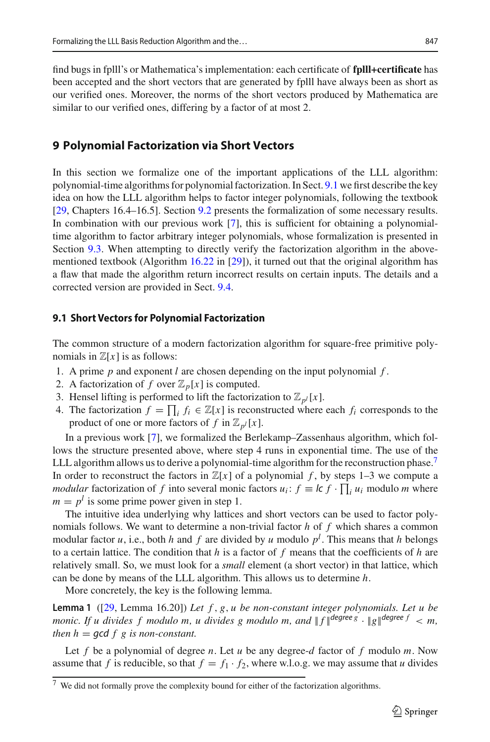find bugs in fplll's or Mathematica's implementation: each certificate of **fplll+certificate** has been accepted and the short vectors that are generated by fplll have always been as short as our verified ones. Moreover, the norms of the short vectors produced by Mathematica are similar to our verified ones, differing by a factor of at most 2.

# <span id="page-20-0"></span>**9 Polynomial Factorization via Short Vectors**

In this section we formalize one of the important applications of the LLL algorithm: polynomial-time algorithms for polynomial factorization. In Sect. [9.1](#page-20-1) we first describe the key idea on how the LLL algorithm helps to factor integer polynomials, following the textbook [\[29,](#page-29-5) Chapters 16.4–16.5]. Section [9.2](#page-21-0) presents the formalization of some necessary results. In combination with our previous work [\[7\]](#page-29-4), this is sufficient for obtaining a polynomialtime algorithm to factor arbitrary integer polynomials, whose formalization is presented in Section [9.3.](#page-23-0) When attempting to directly verify the factorization algorithm in the abovementioned textbook (Algorithm [16.22](#page-24-0) in [\[29](#page-29-5)]), it turned out that the original algorithm has a flaw that made the algorithm return incorrect results on certain inputs. The details and a corrected version are provided in Sect. [9.4.](#page-24-1)

#### <span id="page-20-1"></span>**9.1 Short Vectors for Polynomial Factorization**

The common structure of a modern factorization algorithm for square-free primitive polynomials in  $\mathbb{Z}[x]$  is as follows:

- 1. A prime *p* and exponent *l* are chosen depending on the input polynomial *f* .
- 2. A factorization of *f* over  $\mathbb{Z}_p[x]$  is computed.
- 3. Hensel lifting is performed to lift the factorization to  $\mathbb{Z}_{p^l}[x]$ .
- 4. The factorization  $f = \prod_i f_i \in \mathbb{Z}[x]$  is reconstructed where each  $f_i$  corresponds to the product of one or more factors of  $f$  in  $\mathbb{Z}_{p^l}[x]$ .

In a previous work [\[7](#page-29-4)], we formalized the Berlekamp–Zassenhaus algorithm, which follows the structure presented above, where step 4 runs in exponential time. The use of the LLL algorithm allows us to derive a polynomial-time algorithm for the reconstruction phase.<sup>7</sup> In order to reconstruct the factors in  $\mathbb{Z}[x]$  of a polynomial f, by steps 1–3 we compute a *modular* factorization of *f* into several monic factors  $u_i$ :  $f \equiv l c f \cdot \prod_i u_i$  modulo *m* where  $m = p<sup>l</sup>$  is some prime power given in step 1.

The intuitive idea underlying why lattices and short vectors can be used to factor polynomials follows. We want to determine a non-trivial factor *h* of *f* which shares a common modular factor *u*, i.e., both *h* and *f* are divided by *u* modulo *p<sup>l</sup>* . This means that *h* belongs to a certain lattice. The condition that  $h$  is a factor of  $f$  means that the coefficients of  $h$  are relatively small. So, we must look for a *small* element (a short vector) in that lattice, which can be done by means of the LLL algorithm. This allows us to determine *h*.

<span id="page-20-3"></span>More concretely, the key is the following lemma.

**Lemma 1** ([\[29,](#page-29-5) Lemma 16.20]) *Let f* , *g*, *u be non-constant integer polynomials. Let u be monic. If u divides f modulo m, u divides g modulo m, and*  $|| f ||^{degree g} \cdot || g ||^{degree f} < m$ , *then h* =  $\gcd f$  *g is non-constant.* 

Let *f* be a polynomial of degree *n*. Let *u* be any degree-*d* factor of *f* modulo *m*. Now assume that *f* is reducible, so that  $f = f_1 \cdot f_2$ , where w.l.o.g. we may assume that *u* divides

<span id="page-20-2"></span> $7$  We did not formally prove the complexity bound for either of the factorization algorithms.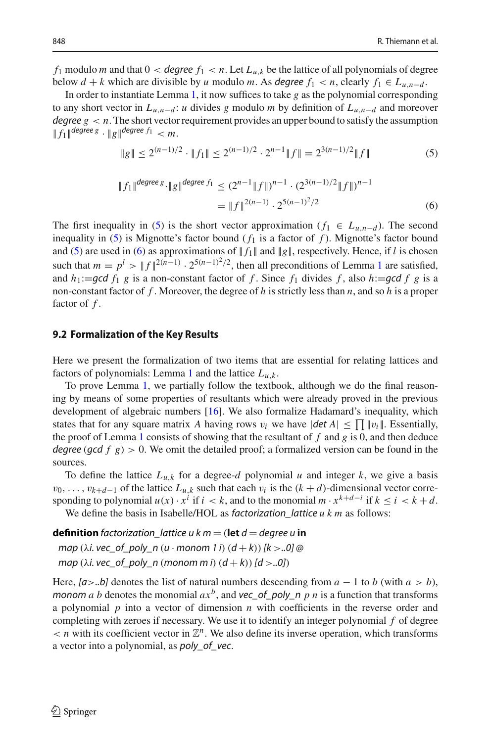*f*<sub>1</sub> modulo *m* and that  $0 <$  *degree*  $f_1 < n$ . Let  $L_{u,k}$  be the lattice of all polynomials of degree below  $d + k$  which are divisible by *u* modulo *m*. As *degree*  $f_1 < n$ , clearly  $f_1 \in L_{u,n-d}$ .

In order to instantiate Lemma [1,](#page-20-3) it now suffices to take *g* as the polynomial corresponding to any short vector in  $L_{u,n-d}$ : *u* divides *g* modulo *m* by definition of  $L_{u,n-d}$  and moreover *degree*  $g \lt n$ . The short vector requirement provides an upper bound to satisfy the assumption  $|| f_1 ||$  *degree*  $g$   $\cdot || g ||$  *degree*  $f_1 < m$ .

<span id="page-21-1"></span>
$$
\|g\| \le 2^{(n-1)/2} \cdot \|f_1\| \le 2^{(n-1)/2} \cdot 2^{n-1} \|f\| = 2^{3(n-1)/2} \|f\| \tag{5}
$$

<span id="page-21-2"></span>
$$
||f_1||^{degree g} \cdot ||g||^{degree f_1} \le (2^{n-1} ||f||)^{n-1} \cdot (2^{3(n-1)/2} ||f||)^{n-1}
$$
  
= 
$$
||f||^{2(n-1)} \cdot 2^{5(n-1)^2/2}
$$
 (6)

The first inequality in [\(5\)](#page-21-1) is the short vector approximation ( $f_1 \in L_{u,n-d}$ ). The second inequality in [\(5\)](#page-21-1) is Mignotte's factor bound  $(f_1$  is a factor of  $f$ ). Mignotte's factor bound and [\(5\)](#page-21-1) are used in [\(6\)](#page-21-2) as approximations of  $|| f_1 ||$  and  $|| g ||$ , respectively. Hence, if *l* is chosen such that  $m = p^l > ||f||^{2(n-1)} \cdot 2^{5(n-1)^2/2}$  $m = p^l > ||f||^{2(n-1)} \cdot 2^{5(n-1)^2/2}$  $m = p^l > ||f||^{2(n-1)} \cdot 2^{5(n-1)^2/2}$ , then all preconditions of Lemma 1 are satisfied, and  $h_1:=$ *gcd*  $f_1$   $g$  is a non-constant factor of  $f$ . Since  $f_1$  divides  $f$ , also  $h:=$ **gcd**  $f$   $g$  is a non-constant factor of *f* . Moreover, the degree of *h* is strictly less than *n*, and so *h* is a proper factor of *f* .

#### <span id="page-21-0"></span>**9.2 Formalization of the Key Results**

Here we present the formalization of two items that are essential for relating lattices and factors of polynomials: Lemma [1](#page-20-3) and the lattice  $L_{u,k}$ .

To prove Lemma [1,](#page-20-3) we partially follow the textbook, although we do the final reasoning by means of some properties of resultants which were already proved in the previous development of algebraic numbers [\[16](#page-29-10)]. We also formalize Hadamard's inequality, which states that for any square matrix *A* having rows  $v_i$  we have  $|\det A| \le \prod |v_i|$ . Essentially, the proof of Lemma [1](#page-20-3) consists of showing that the resultant of *f* and *g* is 0, and then deduce *degree* (*gcd f*  $g$ ) > 0. We omit the detailed proof; a formalized version can be found in the sources.

To define the lattice  $L_{u,k}$  for a degree-*d* polynomial *u* and integer *k*, we give a basis  $v_0, \ldots, v_{k+d-1}$  of the lattice  $L_{u,k}$  such that each  $v_i$  is the  $(k+d)$ -dimensional vector corresponding to polynomial  $u(x) \cdot x^i$  if  $i < k$ , and to the monomial  $m \cdot x^{k+d-i}$  if  $k \le i < k+d$ . We define the basis in Isabelle/HOL as *factorization* lattice *ukm* as follows:

**definition** *factorization* lattice  $u \cdot m =$  (let  $d =$  *degree*  $u$  **in** 

*map* (λ*i. vec\_of\_poly\_n* (*u* · *monom 1 i*) (*d* + *k*))*[k* >*..0] @ map* ( $\lambda i$ *. vec\_of\_poly\_n* (*monom m i*)  $(d + k)$  [ $d > .0$ ])

Here,  $[a > .b]$  denotes the list of natural numbers descending from  $a - 1$  to *b* (with  $a > b$ ), *monom a b* denotes the monomial  $ax^b$ , and **vec\_of\_poly\_n** *p n* is a function that transforms a polynomial *p* into a vector of dimension *n* with coefficients in the reverse order and completing with zeroes if necessary. We use it to identify an integer polynomial *f* of degree  $\langle n \rangle$  with its coefficient vector in  $\mathbb{Z}^n$ . We also define its inverse operation, which transforms a vector into a polynomial, as *poly\_of\_vec*.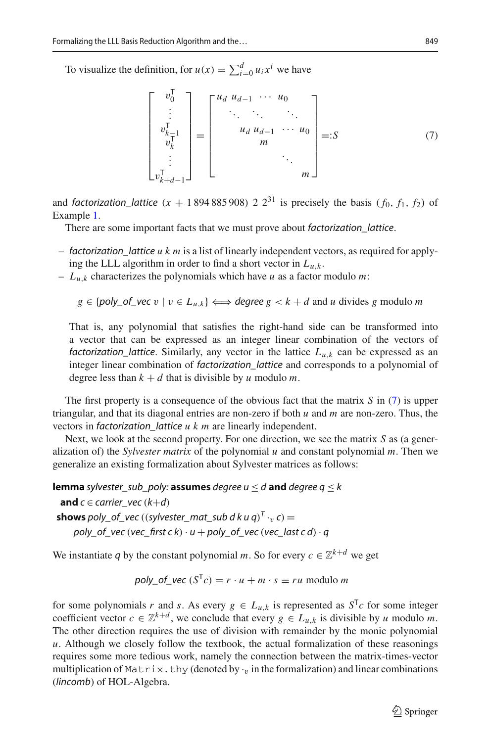To visualize the definition, for  $u(x) = \sum_{i=0}^{d} u_i x^i$  we have

<span id="page-22-0"></span>
$$
\begin{bmatrix} v_0^{\mathsf{T}} \\ \vdots \\ v_{k-1}^{\mathsf{T}} \\ v_k^{\mathsf{T}} \\ \vdots \\ v_{k+d-1}^{\mathsf{T}} \end{bmatrix} = \begin{bmatrix} u_d & u_{d-1} & \cdots & u_0 \\ \vdots & \ddots & \ddots & \ddots \\ u_d & u_{d-1} & \cdots & u_0 \\ m & & & \\ & \ddots & & \\ & & & \ddots & \\ & & & & m \end{bmatrix} =: S \tag{7}
$$

and *factorization\_lattice*  $(x + 1894885908) 22^{31}$  is precisely the basis  $(f_0, f_1, f_2)$  of Example [1.](#page-1-0)

There are some important facts that we must prove about *factorization\_lattice*.

- *factorization\_lattice ukm* is a list of linearly independent vectors, as required for applying the LLL algorithm in order to find a short vector in  $L_{u,k}$ .
- $-L_{u,k}$  characterizes the polynomials which have *u* as a factor modulo *m*:

 $g \in \{poly\_of\_vec \ v \mid v \in L_{u,k}\} \Longleftrightarrow degree \ g < k + d \text{ and } u \text{ divides } g \text{ modulo } m$ 

That is, any polynomial that satisfies the right-hand side can be transformed into a vector that can be expressed as an integer linear combination of the vectors of *factorization\_lattice.* Similarly, any vector in the lattice  $L_{u,k}$  can be expressed as an integer linear combination of *factorization\_lattice* and corresponds to a polynomial of degree less than  $k + d$  that is divisible by *u* modulo *m*.

The first property is a consequence of the obvious fact that the matrix *S* in [\(7\)](#page-22-0) is upper triangular, and that its diagonal entries are non-zero if both *u* and *m* are non-zero. Thus, the vectors in *factorization\_lattice u k m* are linearly independent.

Next, we look at the second property. For one direction, we see the matrix *S* as (a generalization of) the *Sylvester matrix* of the polynomial *u* and constant polynomial *m*. Then we generalize an existing formalization about Sylvester matrices as follows:

**lemma** *[sylvester\\_sub\\_poly:](http://cl-informatik.uibk.ac.at/isafor/experiments/lll/JAR/html_thys/AFP/LLL_Basis_Reduction/Missing_Lemmas.html#lem:sylvester_sub_poly)* **assumes** *degree*  $u \le d$  **and** *degree*  $q \le k$ 

**and**  $c$  ∈ *carrier\_vec* ( $k$ +*d*) **shows** *poly\_of\_vec* ((*sylvester\_mat\_sub d k u q*)<sup>*T*</sup> ·<sub>v</sub> *c*) = *poly\_of\_vec* (*vec\_first ck*)  $\cdot u$  + *poly\_of\_vec* (*vec\_last c d*)  $\cdot q$ 

We instantiate *q* by the constant polynomial *m*. So for every  $c \in \mathbb{Z}^{k+d}$  we get

$$
poly\_of\_vec(S^Tc) = r \cdot u + m \cdot s \equiv ru \text{ modulo } m
$$

for some polynomials *r* and *s*. As every  $g \in L_{u,k}$  is represented as  $S<sup>T</sup>c$  for some integer coefficient vector  $c \in \mathbb{Z}^{k+d}$ , we conclude that every  $g \in L_{u,k}$  is divisible by *u* modulo *m*. The other direction requires the use of division with remainder by the monic polynomial *u*. Although we closely follow the textbook, the actual formalization of these reasonings requires some more tedious work, namely the connection between the matrix-times-vector multiplication of Matrix.thy (denoted by  $\cdot$  in the formalization) and linear combinations (*lincomb*) of HOL-Algebra.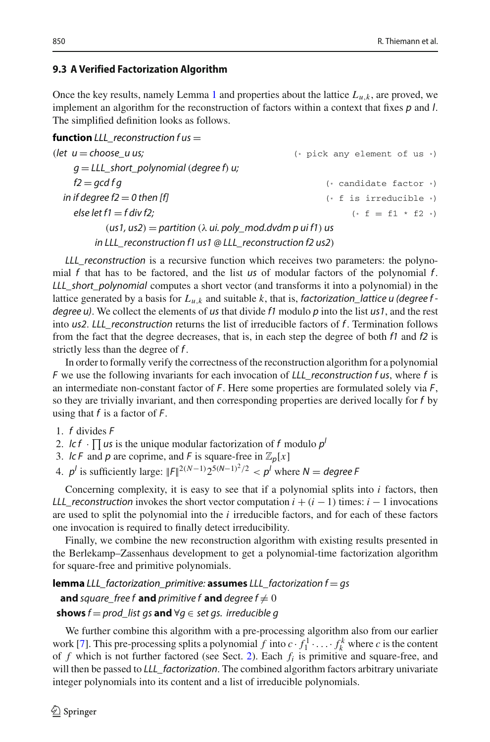# <span id="page-23-0"></span>**9.3 A Verified Factorization Algorithm**

Once the key results, namely Lemma [1](#page-20-3) and properties about the lattice  $L_{u,k}$ , are proved, we implement an algorithm for the reconstruction of factors within a context that fixes *p* and *l*. The simplified definition looks as follows.

**function**  $LLL$  reconstruction  $f$  us  $=$ 

| (let $u =$ choose u us;                                                            | $(*)$ pick any element of us $*)$ |
|------------------------------------------------------------------------------------|-----------------------------------|
| $q = LLL$ short_polynomial (degree f) u;                                           |                                   |
| $f2 = qcd$ f q                                                                     | $(*$ candidate factor $*)$        |
| in if degree $f2 = 0$ then [f]                                                     | $(* f is irreducible *)$          |
| else let $f1 = f$ div f2;                                                          | $(* f = f1 * f2 *)$               |
| $(us1, us2) =$ partition $(\lambda \text{ ui. poly_model}.dvdm \text{ pui f1})$ us |                                   |
| in LLL_reconstruction $f1$ us $1 \otimes$ LLL_reconstruction $f2$ us $2)$          |                                   |

*LLL\_reconstruction* is a recursive function which receives two parameters: the polynomial *f* that has to be factored, and the list *us* of modular factors of the polynomial *f* . *LLL\_short\_polynomial* computes a short vector (and transforms it into a polynomial) in the lattice generated by a basis for *Lu*,*<sup>k</sup>* and suitable *k*, that is, *factorization\_lattice u (degree f degree u)*. We collect the elements of *us* that divide *f1* modulo *p* into the list *us1*, and the rest into *us2*. *LLL\_reconstruction* returns the list of irreducible factors of *f* . Termination follows from the fact that the degree decreases, that is, in each step the degree of both *f1* and *f2* is strictly less than the degree of *f* .

In order to formally verify the correctness of the reconstruction algorithm for a polynomial *F* we use the following invariants for each invocation of *LLL\_reconstruction f us*, where *f* is an intermediate non-constant factor of *F*. Here some properties are formulated solely via *F*, so they are trivially invariant, and then corresponding properties are derived locally for *f* by using that *f* is a factor of *F*.

- 1. *f* divides *F*
- 2. *lc f*  $\cdot \prod$  *us* is the unique modular factorization of *f* modulo  $p^l$
- 3. *lc F* and *p* are coprime, and *F* is square-free in  $\mathbb{Z}_p[x]$
- 4.  $p^l$  is sufficiently large:  $||F||^{2(N-1)}2^{5(N-1)^2/2} < p^l$  where  $N = \text{degree } F$

Concerning complexity, it is easy to see that if a polynomial splits into *i* factors, then *LLL\_reconstruction* invokes the short vector computation  $i + (i - 1)$  times:  $i - 1$  invocations are used to split the polynomial into the  $i$  irreducible factors, and for each of these factors one invocation is required to finally detect irreducibility.

Finally, we combine the new reconstruction algorithm with existing results presented in the Berlekamp–Zassenhaus development to get a polynomial-time factorization algorithm for square-free and primitive polynomials.

**lemma** *[LLL\\_factorization\\_primitive:](http://cl-informatik.uibk.ac.at/isafor/experiments/lll/JAR/html_thys/AFP/LLL_Factorization/LLL_Factorization.html#lem:LLL_factorization_primitive)* **assumes** *LLL\_factorization f* = *gs* **and** *square\_free f* **and** *primitive f* **and** *degree f*  $\neq$  0

# **shows**  $f = prod\_list$  *gs* **and** ∀*g*  $∈$  *set gs. irreducible g*

We further combine this algorithm with a pre-processing algorithm also from our earlier work [\[7](#page-29-4)]. This pre-processing splits a polynomial *f* into  $c \cdot f_1^1 \cdot \ldots \cdot f_k^k$  where *c* is the content of *f* which is not further factored (see Sect. [2\)](#page-2-0). Each *fi* is primitive and square-free, and will then be passed to *LLL\_factorization*. The combined algorithm factors arbitrary univariate integer polynomials into its content and a list of irreducible polynomials.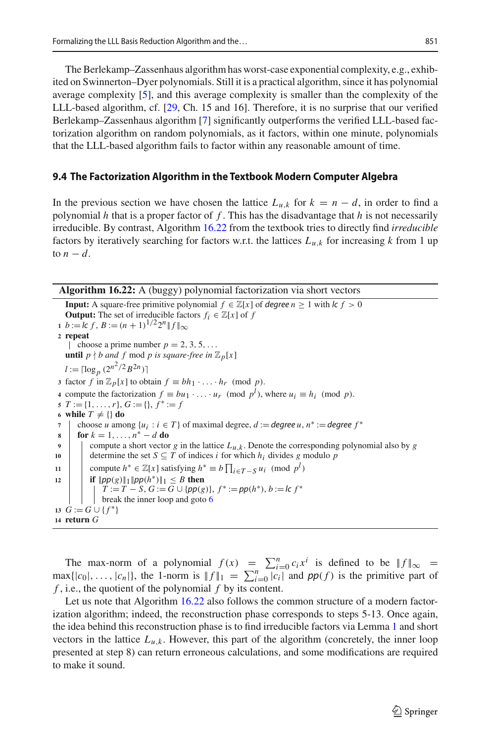The Berlekamp–Zassenhaus algorithm has worst-case exponential complexity, e.g., exhibited on Swinnerton–Dyer polynomials. Still it is a practical algorithm, since it has polynomial average complexity [\[5](#page-28-6)], and this average complexity is smaller than the complexity of the LLL-based algorithm, cf. [\[29](#page-29-5), Ch. 15 and 16]. Therefore, it is no surprise that our verified Berlekamp–Zassenhaus algorithm [\[7](#page-29-4)] significantly outperforms the verified LLL-based factorization algorithm on random polynomials, as it factors, within one minute, polynomials that the LLL-based algorithm fails to factor within any reasonable amount of time.

#### <span id="page-24-1"></span>**9.4 The Factorization Algorithm in the Textbook Modern Computer Algebra**

In the previous section we have chosen the lattice  $L_{u,k}$  for  $k = n - d$ , in order to find a polynomial  $h$  that is a proper factor of  $f$ . This has the disadvantage that  $h$  is not necessarily irreducible. By contrast, Algorithm [16.22](#page-24-0) from the textbook tries to directly find *irreducible* factors by iteratively searching for factors w.r.t. the lattices  $L_{u,k}$  for increasing *k* from 1 up to  $n - d$ .

<span id="page-24-0"></span>**Algorithm 16.22:** A (buggy) polynomial factorization via short vectors

<span id="page-24-2"></span>**Input:** A square-free primitive polynomial  $f \in \mathbb{Z}[x]$  of *degree*  $n \geq 1$  with  $\ln f > 0$ **Output:** The set of irreducible factors  $f_i \in \mathbb{Z}[x]$  of *f* **1**  $b := c f$ ,  $B := (n+1)^{1/2} 2^n \| f \|_{\infty}$ **<sup>2</sup> repeat**  $\int$  choose a prime number  $p = 2, 3, 5, \ldots$ **until**  $p \nmid b$  and  $f$  mod  $p$  is square-free in  $\mathbb{Z}_p[x]$  $l := \lceil \log_p (2^{n^2/2} B^{2n}) \rceil$ **3** factor *f* in  $\mathbb{Z}_p[x]$  to obtain  $f \equiv bh_1 \cdot \ldots \cdot h_r \pmod{p}$ . **4** compute the factorization  $f \equiv bu_1 \cdot \ldots \cdot u_r \pmod{p^l}$ , where  $u_i \equiv h_i \pmod{p}$ .  $\mathbf{5}$   $T := \{1, \ldots, r\}, G := \{\}, f^* := f$ **6 while**  $T \neq \{\}$  **do 7** choose *u* among  $\{u_i : i \in T\}$  of maximal degree,  $d :=$  *degree*  $u, n^* :=$  *degree*  $f^*$  **for**  $k = 1, ..., n^* - d$  **do 8 for**  $k = 1, ..., n^* - d$  **do**<br>**9 compute** a short vector compute a short vector *g* in the lattice  $L_{u,k}$ . Denote the corresponding polynomial also by *g* 10 determine the set  $S \subseteq T$  of indices *i* for which  $h_i$  divides *g* modulo *p* 11 compute  $h^* \in \mathbb{Z}[x]$  satisfying  $h^* \equiv b \prod_{i \in T-S} u_i \pmod{p^l}$ 12 **if**  $||p p(g)||_1 ||p p(h^*)||_1 \leq B$  **then**  $T := T - S$ ,  $G := \overline{G} \cup \{pp(g)\}, f^* := pp(h^*), b := \overline{K} f^*$ break the inner loop and goto [6](#page-24-2) 13  $G := G \cup \{f^*\}$ **<sup>14</sup> return** *G*

The max-norm of a polynomial  $f(x) = \sum_{i=0}^{n} c_i x^i$  is defined to be  $||f||_{\infty} =$  $\max\{|c_0|, \ldots, |c_n|\}$ , the 1-norm is  $||f||_1 = \sum_{i=0}^n |c_i|$  and  $pp(f)$  is the primitive part of *f* , i.e., the quotient of the polynomial *f* by its content.

Let us note that Algorithm [16.22](#page-24-0) also follows the common structure of a modern factorization algorithm; indeed, the reconstruction phase corresponds to steps 5-13. Once again, the idea behind this reconstruction phase is to find irreducible factors via Lemma [1](#page-20-3) and short vectors in the lattice  $L_{u,k}$ . However, this part of the algorithm (concretely, the inner loop presented at step 8) can return erroneous calculations, and some modifications are required to make it sound.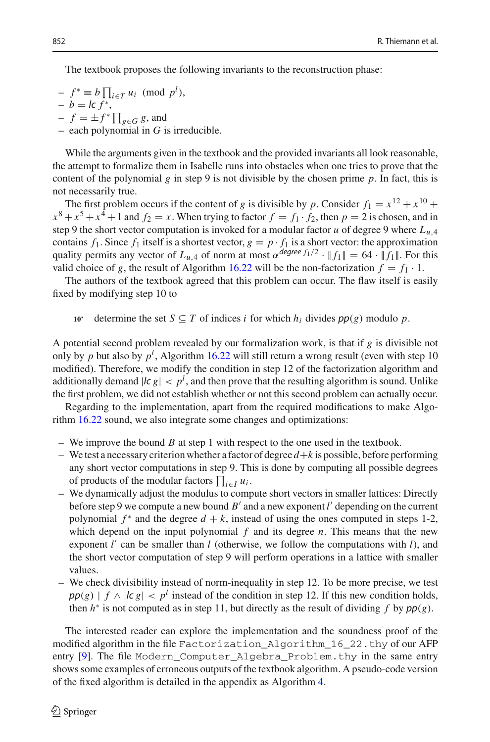The textbook proposes the following invariants to the reconstruction phase:

- $f^* \equiv b \prod_{i \in T} u_i \pmod{p^l}$ ,  $- b = lc f^*$ ,
- $-f = \pm f^* \prod_{g \in G} g$ , and
- $-$  each polynomial in  $G$  is irreducible.

While the arguments given in the textbook and the provided invariants all look reasonable, the attempt to formalize them in Isabelle runs into obstacles when one tries to prove that the content of the polynomial  $g$  in step 9 is not divisible by the chosen prime  $p$ . In fact, this is not necessarily true.

The first problem occurs if the content of *g* is divisible by *p*. Consider  $f_1 = x^{12} + x^{10} +$  $x^8 + x^5 + x^4 + 1$  and  $f_2 = x$ . When trying to factor  $f = f_1 \cdot f_2$ , then  $p = 2$  is chosen, and in step 9 the short vector computation is invoked for a modular factor *u* of degree 9 where  $L_{u,4}$ contains  $f_1$ . Since  $f_1$  itself is a shortest vector,  $g = p \cdot f_1$  is a short vector: the approximation quality permits any vector of  $L_{u,4}$  of norm at most  $\alpha^{degree\ f_1/2} \cdot ||f_1|| = 64 \cdot ||f_1||$ . For this valid choice of *g*, the result of Algorithm [16.22](#page-24-0) will be the non-factorization  $f = f_1 \cdot 1$ .

The authors of the textbook agreed that this problem can occur. The flaw itself is easily fixed by modifying step 10 to

10' determine the set  $S \subseteq T$  of indices *i* for which  $h_i$  divides  $pp(g)$  modulo  $p$ .

A potential second problem revealed by our formalization work, is that if *g* is divisible not only by *p* but also by  $p^l$ , Algorithm [16.22](#page-24-0) will still return a wrong result (even with step 10 modified). Therefore, we modify the condition in step 12 of the factorization algorithm and additionally demand  $|c g| < p^l$ , and then prove that the resulting algorithm is sound. Unlike the first problem, we did not establish whether or not this second problem can actually occur.

Regarding to the implementation, apart from the required modifications to make Algorithm [16.22](#page-24-0) sound, we also integrate some changes and optimizations:

- We improve the bound *B* at step 1 with respect to the one used in the textbook.
- We test a necessary criterion whether a factor of degree *d*+*k* is possible, before performing any short vector computations in step 9. This is done by computing all possible degrees of products of the modular factors  $\prod_{i \in I} u_i$ .
- We dynamically adjust the modulus to compute short vectors in smaller lattices: Directly before step 9 we compute a new bound  $B'$  and a new exponent *l'* depending on the current polynomial  $f^*$  and the degree  $d + k$ , instead of using the ones computed in steps 1-2, which depend on the input polynomial  $f$  and its degree  $n$ . This means that the new exponent *l'* can be smaller than *l* (otherwise, we follow the computations with *l*), and the short vector computation of step 9 will perform operations in a lattice with smaller values.
- We check divisibility instead of norm-inequality in step 12. To be more precise, we test  $pp(g) | f \wedge |c g| < p^l$  instead of the condition in step 12. If this new condition holds, then  $h^*$  is not computed as in step 11, but directly as the result of dividing  $f$  by  $pp(g)$ .

The interested reader can explore the implementation and the soundness proof of the modified algorithm in the file Factorization\_Algorithm\_16\_22.thy of our AFP entry [\[9](#page-29-6)]. The file Modern\_Computer\_Algebra\_Problem.thy in the same entry shows some examples of erroneous outputs of the textbook algorithm. A pseudo-code version of the fixed algorithm is detailed in the appendix as Algorithm [4.](#page-27-1)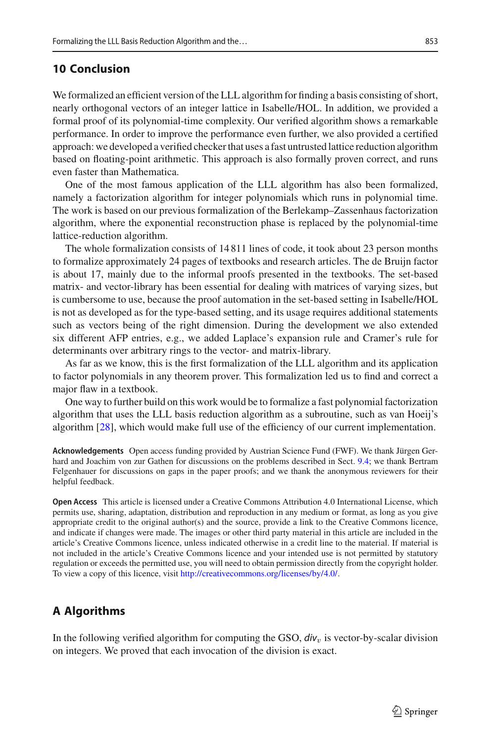# <span id="page-26-0"></span>**10 Conclusion**

We formalized an efficient version of the LLL algorithm for finding a basis consisting of short, nearly orthogonal vectors of an integer lattice in Isabelle/HOL. In addition, we provided a formal proof of its polynomial-time complexity. Our verified algorithm shows a remarkable performance. In order to improve the performance even further, we also provided a certified approach: we developed a verified checker that uses a fast untrusted lattice reduction algorithm based on floating-point arithmetic. This approach is also formally proven correct, and runs even faster than Mathematica.

One of the most famous application of the LLL algorithm has also been formalized, namely a factorization algorithm for integer polynomials which runs in polynomial time. The work is based on our previous formalization of the Berlekamp–Zassenhaus factorization algorithm, where the exponential reconstruction phase is replaced by the polynomial-time lattice-reduction algorithm.

The whole formalization consists of 14 811 lines of code, it took about 23 person months to formalize approximately 24 pages of textbooks and research articles. The de Bruijn factor is about 17, mainly due to the informal proofs presented in the textbooks. The set-based matrix- and vector-library has been essential for dealing with matrices of varying sizes, but is cumbersome to use, because the proof automation in the set-based setting in Isabelle/HOL is not as developed as for the type-based setting, and its usage requires additional statements such as vectors being of the right dimension. During the development we also extended six different AFP entries, e.g., we added Laplace's expansion rule and Cramer's rule for determinants over arbitrary rings to the vector- and matrix-library.

As far as we know, this is the first formalization of the LLL algorithm and its application to factor polynomials in any theorem prover. This formalization led us to find and correct a major flaw in a textbook.

One way to further build on this work would be to formalize a fast polynomial factorization algorithm that uses the LLL basis reduction algorithm as a subroutine, such as van Hoeij's algorithm [\[28\]](#page-29-12), which would make full use of the efficiency of our current implementation.

**Acknowledgements** Open access funding provided by Austrian Science Fund (FWF). We thank Jürgen Gerhard and Joachim von zur Gathen for discussions on the problems described in Sect. [9.4;](#page-24-1) we thank Bertram Felgenhauer for discussions on gaps in the paper proofs; and we thank the anonymous reviewers for their helpful feedback.

**Open Access** This article is licensed under a Creative Commons Attribution 4.0 International License, which permits use, sharing, adaptation, distribution and reproduction in any medium or format, as long as you give appropriate credit to the original author(s) and the source, provide a link to the Creative Commons licence, and indicate if changes were made. The images or other third party material in this article are included in the article's Creative Commons licence, unless indicated otherwise in a credit line to the material. If material is not included in the article's Creative Commons licence and your intended use is not permitted by statutory regulation or exceeds the permitted use, you will need to obtain permission directly from the copyright holder. To view a copy of this licence, visit [http://creativecommons.org/licenses/by/4.0/.](http://creativecommons.org/licenses/by/4.0/)

# **A Algorithms**

In the following verified algorithm for computing the GSO,  $div<sub>v</sub>$  is vector-by-scalar division on integers. We proved that each invocation of the division is exact.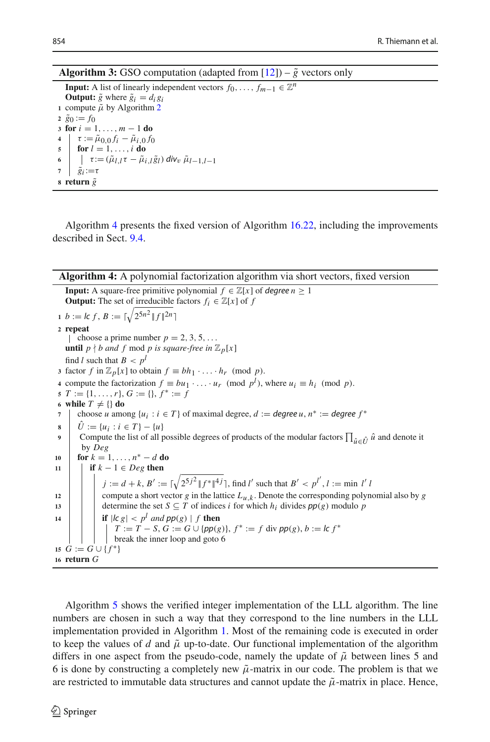**Algorithm 3:** GSO computation (adapted from  $[12]$ ) –  $\tilde{g}$  vectors only

<span id="page-27-0"></span>**Input:** A list of linearly independent vectors  $f_0, \ldots, f_{m-1} \in \mathbb{Z}^n$ **Output:**  $\tilde{g}$  where  $\tilde{g}_i = d_i g_i$  compute  $\tilde{\mu}$  by Algorithm [2](#page-11-0)  $\tilde{g}_0 := f_0$  **for**  $i = 1, ..., m - 1$  **do**<br>**4**  $\mathbf{I} \cdot \mathbf{r} := \tilde{u} \cdot \mathbf{a}$   $\mathbf{f} \cdot \mathbf{r} = \tilde{u} \cdot \mathbf{a}$   $\tau := \tilde{\mu}_{0,0} f_i - \tilde{\mu}_{i,0} f_0$ <br>**5 for**  $l = 1$  *i* **do for** *l* = 1,...,*i* **do**  $\int \frac{\tau}{\tilde{\theta}_i} \cdot \frac{\tau}{=\tau}$  ( $\tilde{\mu}_l$ ,*l*  $\tau$  –  $\tilde{\mu}_l$ ,*l*  $\tilde{g}_l$ ) *div<sub>v</sub>*  $\tilde{\mu}_l$ <sub>−1</sub>,*l*−1  $\tilde{g}_i := \tau$ **return**  $\tilde{g}$ 

Algorithm [4](#page-27-1) presents the fixed version of Algorithm [16.22,](#page-24-0) including the improvements described in Sect. [9.4.](#page-24-1)

#### <span id="page-27-1"></span>**Algorithm 4:** A polynomial factorization algorithm via short vectors, fixed version

**Input:** A square-free primitive polynomial  $f \in \mathbb{Z}[x]$  of *degree*  $n \geq 1$ **Output:** The set of irreducible factors  $f_i \in \mathbb{Z}[x]$  of *f* **1**  $b := \int f$ ,  $B := \lceil \sqrt{2^{5n^2}} \rceil f \rceil^{2n}$ **<sup>2</sup> repeat**  $\int$  choose a prime number  $p = 2, 3, 5, \ldots$ **until**  $p \nmid b$  and  $f$  mod  $p$  is square-free in  $\mathbb{Z}_p[x]$ find *l* such that  $B < p^l$ **3** factor *f* in  $\mathbb{Z}_p[x]$  to obtain  $f \equiv bh_1 \cdot \ldots \cdot h_r \pmod{p}$ . **4** compute the factorization  $f \equiv bu_1 \cdot \ldots \cdot u_r \pmod{p^l}$ , where  $u_i \equiv h_i \pmod{p}$ . **5**  $T := \{1, \ldots, r\}, G := \{\}, f^* := f$ 6 **while**  $T \neq \{\}$  **do**<br> **7**  $\mid$  choose *u* among choose *u* among  $\{u_i : i \in T\}$  of maximal degree,  $d :=$  degree  $u, n^* :=$  degree  $f^*$ **8**  $\hat{U} := \{u_i : i \in T\} - \{u\}$ <br>**0** Compute the list of all r **9** Compute the list of all possible degrees of products of the modular factors  $\prod_{\hat{u}\in\hat{U}}\hat{u}$  and denote it by *Dan* by *Deg* **10 for**  $k = 1, ..., n^* - d$  **do**<br>**11 f f**  $k - 1 \in De^g$  **then if**  $k - 1 \in Deg$  **then**  $j := d + k$ ,  $B' := \lceil \sqrt{2^{5j^2} \cdot \| f^* \|^4 j} \rceil$ , find *l*' such that  $B' < p^{l'}$ ,  $l := \min l'$  *l* 12  $\Box$  compute a short vector *g* in the lattice  $L_{u,k}$ . Denote the corresponding polynomial also by *g* 13 determine the set  $S \subseteq T$  of indices *i* for which  $h_i$  divides  $pp(g)$  modulo *p* **14 if**  $|l c g| < p^l$  *and*  $pp(g) | f$  **then** *T* := *T* − *S*, *G* := *G* ∪ { $pp(g)$ },  $f^*$  := *f* div  $pp(g)$ ,  $b :=$  *lc*  $f^*$ break the inner loop and goto 6 15  $G := G \cup \{f^*\}$ **<sup>16</sup> return** *G*

Algorithm [5](#page-28-5) shows the verified integer implementation of the LLL algorithm. The line numbers are chosen in such a way that they correspond to the line numbers in the LLL implementation provided in Algorithm [1.](#page-6-0) Most of the remaining code is executed in order to keep the values of *d* and  $\tilde{\mu}$  up-to-date. Our functional implementation of the algorithm differs in one aspect from the pseudo-code, namely the update of  $\tilde{\mu}$  between lines 5 and 6 is done by constructing a completely new  $\tilde{\mu}$ -matrix in our code. The problem is that we are restricted to immutable data structures and cannot update the  $\tilde{\mu}$ -matrix in place. Hence,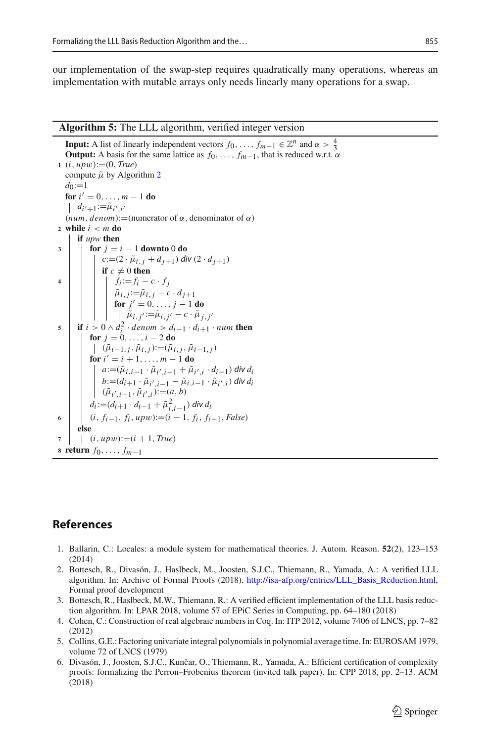our implementation of the swap-step requires quadratically many operations, whereas an implementation with mutable arrays only needs linearly many operations for a swap.

#### <span id="page-28-5"></span>**Algorithm 5:** The LLL algorithm, verified integer version

**Input:** A list of linearly independent vectors *f*<sub>0</sub>,..., *f<sub>m−1</sub>*  $\in \mathbb{Z}^n$  and  $\alpha > \frac{4}{3}$ **Output:** A basis for the same lattice as  $f_0, \ldots, f_{m-1}$ , that is reduced w.r.t.  $\alpha$ **<sup>1</sup>** (*i*, *up*w):=(0, *True*) compute  $\tilde{\mu}$  by Algorithm [2](#page-11-0)  $d_0:=1$ **for**  $i' = 0, \ldots, m - 1$  **do**  $d_{i'+1} := \tilde{\mu}_{i',i'}$  $(num, denom):=(numerator of \alpha, denominator of \alpha)$ **<sup>2</sup> while** *i* < *m* **do if** *upw* **then 3 for**  $j = i - 1$  **downto** 0 **do**  $c := (2 \cdot \tilde{\mu}_{i,j} + d_{j+1})$  *div*  $(2 \cdot d_{j+1})$ **if**  $c \neq 0$  **then 4 f**<sub>*i*</sub> :=  $f_i$  -  $c \cdot f_j$  $\tilde{\mu}_{i,j} := \tilde{\mu}_{i,j} - c \cdot d_{j+1}$ **for**  $j' = 0, \ldots, j - 1$  **do** |  $\tilde{\mu}_{i,j'} := \tilde{\mu}_{i,j'} - c \cdot \tilde{\mu}_{j,j'}$ **5 if**  $i > 0 \land d_i^2 \cdot denom > d_{i-1} \cdot d_{i+1} \cdot num$  then **for**  $j = 0, ..., i - 2$  **do**  $(\tilde{\mu}_{i-1,j}, \tilde{\mu}_{i,j}) := (\tilde{\mu}_{i,j}, \tilde{\mu}_{i-1,j})$ **for**  $i' = i + 1, ..., m - 1$  **do**  $a := (µ_{i,i-1} ⋅ µ_{i',i-1} + µ_{i',i} ⋅ d_{i-1})$  *div d<sub>i</sub> b*:=(*d*<sub>*i*+1</sub> ·  $\tilde{\mu}_{i',i-1} - \tilde{\mu}_{i,i-1} \cdot \tilde{\mu}_{i',i}$ ) *div d<sub>i</sub>*  $(\tilde{\mu}_{i',i-1}, \tilde{\mu}_{i',i}) := (a, b)$  $d_i := (d_{i+1} \cdot d_{i-1} + \tilde{\mu}_{i,i-1}^2)$  *div*  $d_i$ **<sup>6</sup>** (*i*, *fi*−1, *fi*, *up*w):=(*i* − 1, *fi*, *fi*−1, *False*) **else 7**  $(i, upw) := (i + 1, True)$ **<sup>8</sup> return** *f*0,..., *fm*−<sup>1</sup>

# **References**

- <span id="page-28-4"></span>1. Ballarin, C.: Locales: a module system for mathematical theories. J. Autom. Reason. **52**(2), 123–153 (2014)
- <span id="page-28-0"></span>2. Bottesch, R., Divasón, J., Haslbeck, M., Joosten, S.J.C., Thiemann, R., Yamada, A.: A verified LLL algorithm. In: Archive of Formal Proofs (2018). [http://isa-afp.org/entries/LLL\\_Basis\\_Reduction.html,](http://isa-afp.org/entries/LLL_Basis_Reduction.html) Formal proof development
- <span id="page-28-1"></span>3. Bottesch, R., Haslbeck, M.W., Thiemann, R.: A verified efficient implementation of the LLL basis reduction algorithm. In: LPAR 2018, volume 57 of EPiC Series in Computing, pp. 64–180 (2018)
- <span id="page-28-3"></span>4. Cohen, C.: Construction of real algebraic numbers in Coq. In: ITP 2012, volume 7406 of LNCS, pp. 7–82 (2012)
- <span id="page-28-6"></span>5. Collins, G.E.: Factoring univariate integral polynomials in polynomial average time. In: EUROSAM 1979, volume 72 of LNCS (1979)
- <span id="page-28-2"></span>6. Divasón, J., Joosten, S.J.C., Kunčar, O., Thiemann, R., Yamada, A.: Efficient certification of complexity proofs: formalizing the Perron–Frobenius theorem (invited talk paper). In: CPP 2018, pp. 2–13. ACM (2018)